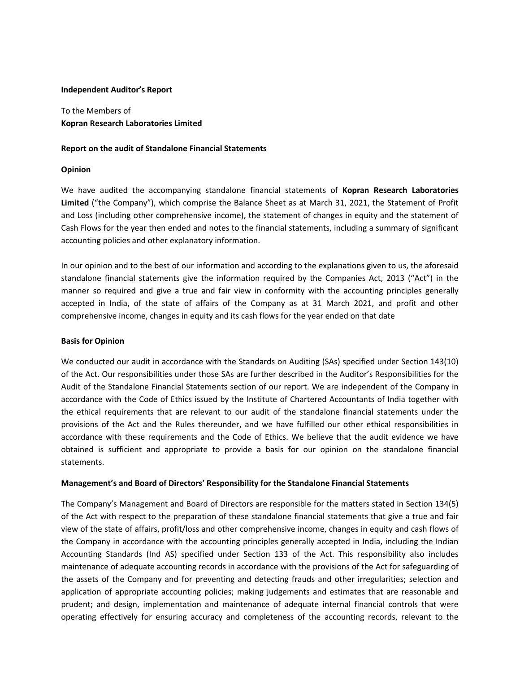#### **Independent Auditor's Report**

To the Members of **Kopran Research Laboratories Limited** 

#### **Report on the audit of Standalone Financial Statements**

#### **Opinion**

We have audited the accompanying standalone financial statements of **Kopran Research Laboratories Limited** ("the Company"), which comprise the Balance Sheet as at March 31, 2021, the Statement of Profit and Loss (including other comprehensive income), the statement of changes in equity and the statement of Cash Flows for the year then ended and notes to the financial statements, including a summary of significant accounting policies and other explanatory information.

In our opinion and to the best of our information and according to the explanations given to us, the aforesaid standalone financial statements give the information required by the Companies Act, 2013 ("Act") in the manner so required and give a true and fair view in conformity with the accounting principles generally accepted in India, of the state of affairs of the Company as at 31 March 2021, and profit and other comprehensive income, changes in equity and its cash flows for the year ended on that date

#### **Basis for Opinion**

We conducted our audit in accordance with the Standards on Auditing (SAs) specified under Section 143(10) of the Act. Our responsibilities under those SAs are further described in the Auditor's Responsibilities for the Audit of the Standalone Financial Statements section of our report. We are independent of the Company in accordance with the Code of Ethics issued by the Institute of Chartered Accountants of India together with the ethical requirements that are relevant to our audit of the standalone financial statements under the provisions of the Act and the Rules thereunder, and we have fulfilled our other ethical responsibilities in accordance with these requirements and the Code of Ethics. We believe that the audit evidence we have obtained is sufficient and appropriate to provide a basis for our opinion on the standalone financial statements.

#### **Management's and Board of Directors' Responsibility for the Standalone Financial Statements**

The Company's Management and Board of Directors are responsible for the matters stated in Section 134(5) of the Act with respect to the preparation of these standalone financial statements that give a true and fair view of the state of affairs, profit/loss and other comprehensive income, changes in equity and cash flows of the Company in accordance with the accounting principles generally accepted in India, including the Indian Accounting Standards (Ind AS) specified under Section 133 of the Act. This responsibility also includes maintenance of adequate accounting records in accordance with the provisions of the Act for safeguarding of the assets of the Company and for preventing and detecting frauds and other irregularities; selection and application of appropriate accounting policies; making judgements and estimates that are reasonable and prudent; and design, implementation and maintenance of adequate internal financial controls that were operating effectively for ensuring accuracy and completeness of the accounting records, relevant to the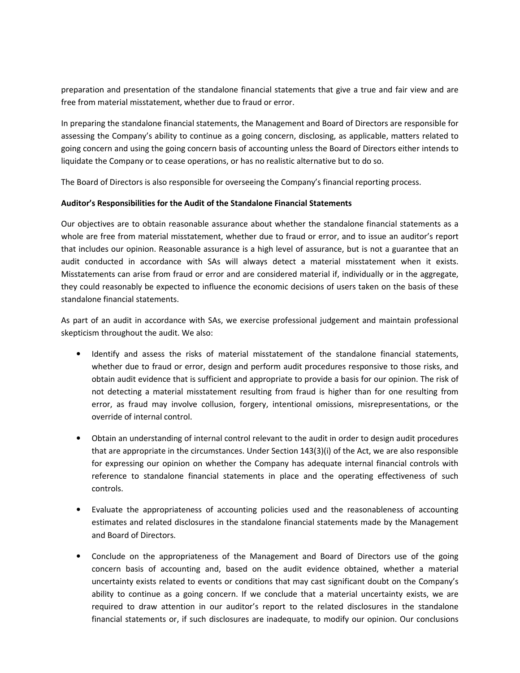preparation and presentation of the standalone financial statements that give a true and fair view and are free from material misstatement, whether due to fraud or error.

In preparing the standalone financial statements, the Management and Board of Directors are responsible for assessing the Company's ability to continue as a going concern, disclosing, as applicable, matters related to going concern and using the going concern basis of accounting unless the Board of Directors either intends to liquidate the Company or to cease operations, or has no realistic alternative but to do so.

The Board of Directors is also responsible for overseeing the Company's financial reporting process.

#### **Auditor's Responsibilities for the Audit of the Standalone Financial Statements**

Our objectives are to obtain reasonable assurance about whether the standalone financial statements as a whole are free from material misstatement, whether due to fraud or error, and to issue an auditor's report that includes our opinion. Reasonable assurance is a high level of assurance, but is not a guarantee that an audit conducted in accordance with SAs will always detect a material misstatement when it exists. Misstatements can arise from fraud or error and are considered material if, individually or in the aggregate, they could reasonably be expected to influence the economic decisions of users taken on the basis of these standalone financial statements.

As part of an audit in accordance with SAs, we exercise professional judgement and maintain professional skepticism throughout the audit. We also:

- Identify and assess the risks of material misstatement of the standalone financial statements, whether due to fraud or error, design and perform audit procedures responsive to those risks, and obtain audit evidence that is sufficient and appropriate to provide a basis for our opinion. The risk of not detecting a material misstatement resulting from fraud is higher than for one resulting from error, as fraud may involve collusion, forgery, intentional omissions, misrepresentations, or the override of internal control.
- Obtain an understanding of internal control relevant to the audit in order to design audit procedures that are appropriate in the circumstances. Under Section 143(3)(i) of the Act, we are also responsible for expressing our opinion on whether the Company has adequate internal financial controls with reference to standalone financial statements in place and the operating effectiveness of such controls.
- Evaluate the appropriateness of accounting policies used and the reasonableness of accounting estimates and related disclosures in the standalone financial statements made by the Management and Board of Directors.
- Conclude on the appropriateness of the Management and Board of Directors use of the going concern basis of accounting and, based on the audit evidence obtained, whether a material uncertainty exists related to events or conditions that may cast significant doubt on the Company's ability to continue as a going concern. If we conclude that a material uncertainty exists, we are required to draw attention in our auditor's report to the related disclosures in the standalone financial statements or, if such disclosures are inadequate, to modify our opinion. Our conclusions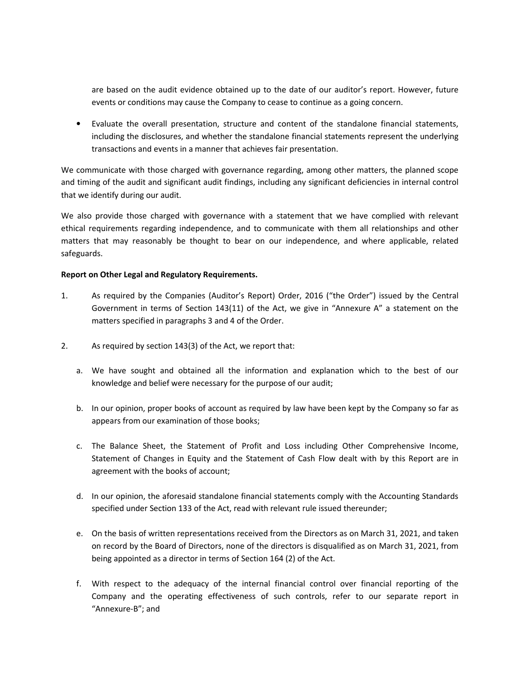are based on the audit evidence obtained up to the date of our auditor's report. However, future events or conditions may cause the Company to cease to continue as a going concern.

• Evaluate the overall presentation, structure and content of the standalone financial statements, including the disclosures, and whether the standalone financial statements represent the underlying transactions and events in a manner that achieves fair presentation.

We communicate with those charged with governance regarding, among other matters, the planned scope and timing of the audit and significant audit findings, including any significant deficiencies in internal control that we identify during our audit.

We also provide those charged with governance with a statement that we have complied with relevant ethical requirements regarding independence, and to communicate with them all relationships and other matters that may reasonably be thought to bear on our independence, and where applicable, related safeguards.

#### **Report on Other Legal and Regulatory Requirements.**

- 1. As required by the Companies (Auditor's Report) Order, 2016 ("the Order") issued by the Central Government in terms of Section 143(11) of the Act, we give in "Annexure A" a statement on the matters specified in paragraphs 3 and 4 of the Order.
- 2. As required by section 143(3) of the Act, we report that:
	- a. We have sought and obtained all the information and explanation which to the best of our knowledge and belief were necessary for the purpose of our audit;
	- b. In our opinion, proper books of account as required by law have been kept by the Company so far as appears from our examination of those books;
	- c. The Balance Sheet, the Statement of Profit and Loss including Other Comprehensive Income, Statement of Changes in Equity and the Statement of Cash Flow dealt with by this Report are in agreement with the books of account;
	- d. In our opinion, the aforesaid standalone financial statements comply with the Accounting Standards specified under Section 133 of the Act, read with relevant rule issued thereunder;
	- e. On the basis of written representations received from the Directors as on March 31, 2021, and taken on record by the Board of Directors, none of the directors is disqualified as on March 31, 2021, from being appointed as a director in terms of Section 164 (2) of the Act.
	- f. With respect to the adequacy of the internal financial control over financial reporting of the Company and the operating effectiveness of such controls, refer to our separate report in "Annexure-B"; and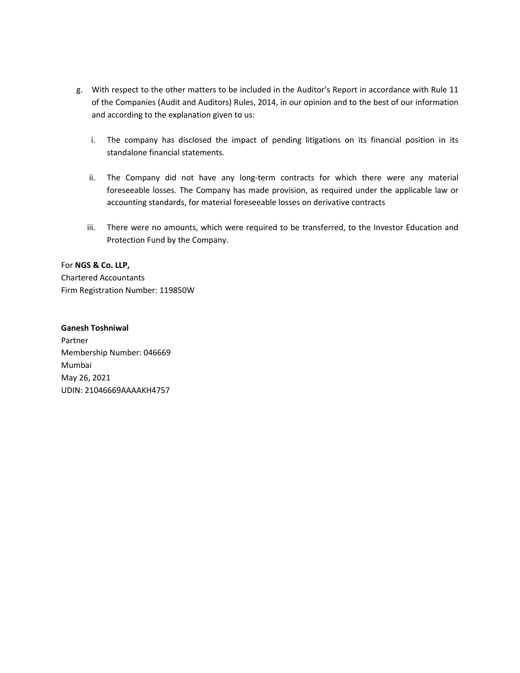- g. With respect to the other matters to be included in the Auditor's Report in accordance with Rule 11 of the Companies (Audit and Auditors) Rules, 2014, in our opinion and to the best of our information and according to the explanation given to us:
	- i. The company has disclosed the impact of pending litigations on its financial position in its standalone financial statements.
	- ii. The Company did not have any long-term contracts for which there were any material foreseeable losses. The Company has made provision, as required under the applicable law or accounting standards, for material foreseeable losses on derivative contracts
	- iii. There were no amounts, which were required to be transferred, to the Investor Education and Protection Fund by the Company.

For **NGS & Co. LLP,** Chartered Accountants Firm Registration Number: 119850W

**Ganesh Toshniwal**  Partner Membership Number: 046669 Mumbai May 26, 2021 UDIN: 21046669AAAAKH4757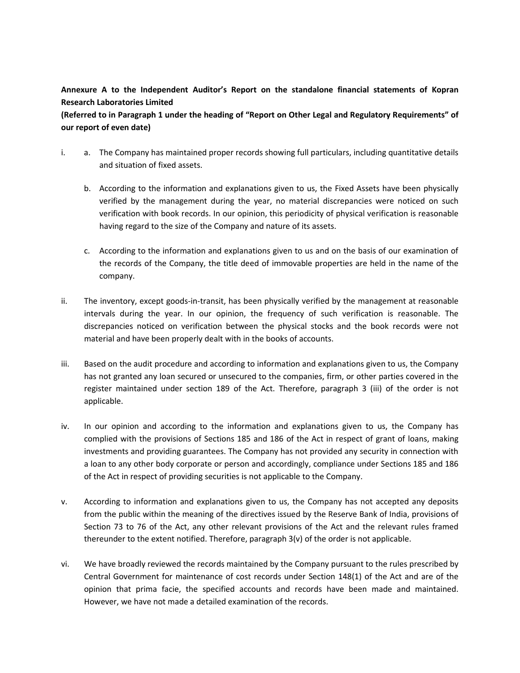## **Annexure A to the Independent Auditor's Report on the standalone financial statements of Kopran Research Laboratories Limited**

## **(Referred to in Paragraph 1 under the heading of "Report on Other Legal and Regulatory Requirements" of our report of even date)**

- i. a. The Company has maintained proper records showing full particulars, including quantitative details and situation of fixed assets.
	- b. According to the information and explanations given to us, the Fixed Assets have been physically verified by the management during the year, no material discrepancies were noticed on such verification with book records. In our opinion, this periodicity of physical verification is reasonable having regard to the size of the Company and nature of its assets.
	- c. According to the information and explanations given to us and on the basis of our examination of the records of the Company, the title deed of immovable properties are held in the name of the company.
- ii. The inventory, except goods-in-transit, has been physically verified by the management at reasonable intervals during the year. In our opinion, the frequency of such verification is reasonable. The discrepancies noticed on verification between the physical stocks and the book records were not material and have been properly dealt with in the books of accounts.
- iii. Based on the audit procedure and according to information and explanations given to us, the Company has not granted any loan secured or unsecured to the companies, firm, or other parties covered in the register maintained under section 189 of the Act. Therefore, paragraph 3 (iii) of the order is not applicable.
- iv. In our opinion and according to the information and explanations given to us, the Company has complied with the provisions of Sections 185 and 186 of the Act in respect of grant of loans, making investments and providing guarantees. The Company has not provided any security in connection with a loan to any other body corporate or person and accordingly, compliance under Sections 185 and 186 of the Act in respect of providing securities is not applicable to the Company.
- v. According to information and explanations given to us, the Company has not accepted any deposits from the public within the meaning of the directives issued by the Reserve Bank of India, provisions of Section 73 to 76 of the Act, any other relevant provisions of the Act and the relevant rules framed thereunder to the extent notified. Therefore, paragraph 3(v) of the order is not applicable.
- vi. We have broadly reviewed the records maintained by the Company pursuant to the rules prescribed by Central Government for maintenance of cost records under Section 148(1) of the Act and are of the opinion that prima facie, the specified accounts and records have been made and maintained. However, we have not made a detailed examination of the records.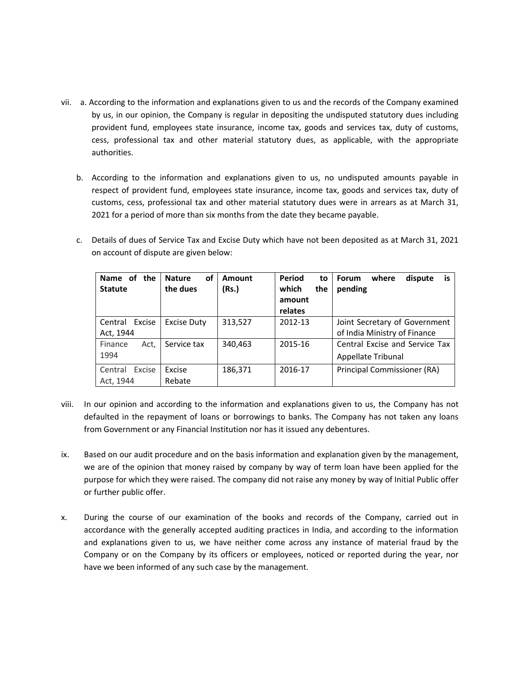- vii. a. According to the information and explanations given to us and the records of the Company examined by us, in our opinion, the Company is regular in depositing the undisputed statutory dues including provident fund, employees state insurance, income tax, goods and services tax, duty of customs, cess, professional tax and other material statutory dues, as applicable, with the appropriate authorities.
	- b. According to the information and explanations given to us, no undisputed amounts payable in respect of provident fund, employees state insurance, income tax, goods and services tax, duty of customs, cess, professional tax and other material statutory dues were in arrears as at March 31, 2021 for a period of more than six months from the date they became payable.
	- c. Details of dues of Service Tax and Excise Duty which have not been deposited as at March 31, 2021 on account of dispute are given below:

| the<br>οf<br><b>Name</b><br><b>Statute</b> | <b>of</b><br><b>Nature</b><br>the dues | <b>Amount</b><br>(Rs.) | Period<br>to<br>which<br>the<br>amount<br>relates | is<br>where<br>dispute<br><b>Forum</b><br>pending             |
|--------------------------------------------|----------------------------------------|------------------------|---------------------------------------------------|---------------------------------------------------------------|
| Excise<br>Central<br>Act, 1944             | Excise Duty                            | 313,527                | 2012-13                                           | Joint Secretary of Government<br>of India Ministry of Finance |
| Act,<br>Finance<br>1994                    | Service tax                            | 340,463                | 2015-16                                           | Central Excise and Service Tax<br>Appellate Tribunal          |
| Excise<br>Central<br>Act, 1944             | Excise<br>Rebate                       | 186,371                | 2016-17                                           | Principal Commissioner (RA)                                   |

- viii. In our opinion and according to the information and explanations given to us, the Company has not defaulted in the repayment of loans or borrowings to banks. The Company has not taken any loans from Government or any Financial Institution nor has it issued any debentures.
- ix. Based on our audit procedure and on the basis information and explanation given by the management, we are of the opinion that money raised by company by way of term loan have been applied for the purpose for which they were raised. The company did not raise any money by way of Initial Public offer or further public offer.
- x. During the course of our examination of the books and records of the Company, carried out in accordance with the generally accepted auditing practices in India, and according to the information and explanations given to us, we have neither come across any instance of material fraud by the Company or on the Company by its officers or employees, noticed or reported during the year, nor have we been informed of any such case by the management.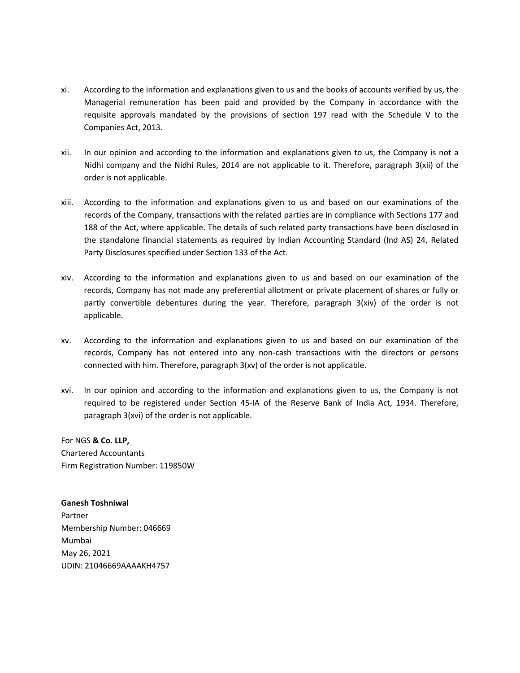- xi. According to the information and explanations given to us and the books of accounts verified by us, the Managerial remuneration has been paid and provided by the Company in accordance with the requisite approvals mandated by the provisions of section 197 read with the Schedule V to the Companies Act, 2013.
- xii. In our opinion and according to the information and explanations given to us, the Company is not a Nidhi company and the Nidhi Rules, 2014 are not applicable to it. Therefore, paragraph 3(xii) of the order is not applicable.
- xiii. According to the information and explanations given to us and based on our examinations of the records of the Company, transactions with the related parties are in compliance with Sections 177 and 188 of the Act, where applicable. The details of such related party transactions have been disclosed in the standalone financial statements as required by Indian Accounting Standard (Ind AS) 24, Related Party Disclosures specified under Section 133 of the Act.
- xiv. According to the information and explanations given to us and based on our examination of the records, Company has not made any preferential allotment or private placement of shares or fully or partly convertible debentures during the year. Therefore, paragraph 3(xiv) of the order is not applicable.
- xv. According to the information and explanations given to us and based on our examination of the records, Company has not entered into any non-cash transactions with the directors or persons connected with him. Therefore, paragraph 3(xv) of the order is not applicable.
- xvi. In our opinion and according to the information and explanations given to us, the Company is not required to be registered under Section 45-IA of the Reserve Bank of India Act, 1934. Therefore, paragraph 3(xvi) of the order is not applicable.

For NGS **& Co. LLP,** Chartered Accountants Firm Registration Number: 119850W

**Ganesh Toshniwal**  Partner Membership Number: 046669 Mumbai May 26, 2021 UDIN: 21046669AAAAKH4757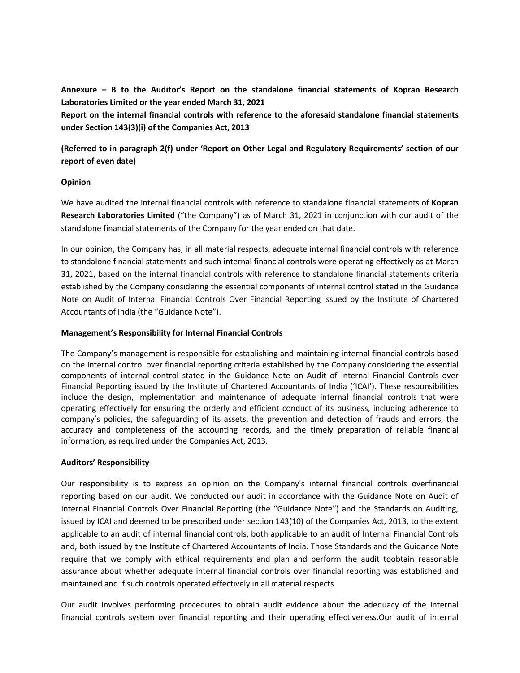**Annexure – B to the Auditor's Report on the standalone financial statements of Kopran Research Laboratories Limited or the year ended March 31, 2021** 

**Report on the internal financial controls with reference to the aforesaid standalone financial statements under Section 143(3)(i) of the Companies Act, 2013** 

**(Referred to in paragraph 2(f) under 'Report on Other Legal and Regulatory Requirements' section of our report of even date)** 

#### **Opinion**

We have audited the internal financial controls with reference to standalone financial statements of **Kopran Research Laboratories Limited** ("the Company") as of March 31, 2021 in conjunction with our audit of the standalone financial statements of the Company for the year ended on that date.

In our opinion, the Company has, in all material respects, adequate internal financial controls with reference to standalone financial statements and such internal financial controls were operating effectively as at March 31, 2021, based on the internal financial controls with reference to standalone financial statements criteria established by the Company considering the essential components of internal control stated in the Guidance Note on Audit of Internal Financial Controls Over Financial Reporting issued by the Institute of Chartered Accountants of India (the "Guidance Note").

#### **Management's Responsibility for Internal Financial Controls**

The Company's management is responsible for establishing and maintaining internal financial controls based on the internal control over financial reporting criteria established by the Company considering the essential components of internal control stated in the Guidance Note on Audit of Internal Financial Controls over Financial Reporting issued by the Institute of Chartered Accountants of India ('ICAI'). These responsibilities include the design, implementation and maintenance of adequate internal financial controls that were operating effectively for ensuring the orderly and efficient conduct of its business, including adherence to company's policies, the safeguarding of its assets, the prevention and detection of frauds and errors, the accuracy and completeness of the accounting records, and the timely preparation of reliable financial information, as required under the Companies Act, 2013.

#### **Auditors' Responsibility**

Our responsibility is to express an opinion on the Company's internal financial controls overfinancial reporting based on our audit. We conducted our audit in accordance with the Guidance Note on Audit of Internal Financial Controls Over Financial Reporting (the "Guidance Note") and the Standards on Auditing, issued by ICAI and deemed to be prescribed under section 143(10) of the Companies Act, 2013, to the extent applicable to an audit of internal financial controls, both applicable to an audit of Internal Financial Controls and, both issued by the Institute of Chartered Accountants of India. Those Standards and the Guidance Note require that we comply with ethical requirements and plan and perform the audit toobtain reasonable assurance about whether adequate internal financial controls over financial reporting was established and maintained and if such controls operated effectively in all material respects.

Our audit involves performing procedures to obtain audit evidence about the adequacy of the internal financial controls system over financial reporting and their operating effectiveness.Our audit of internal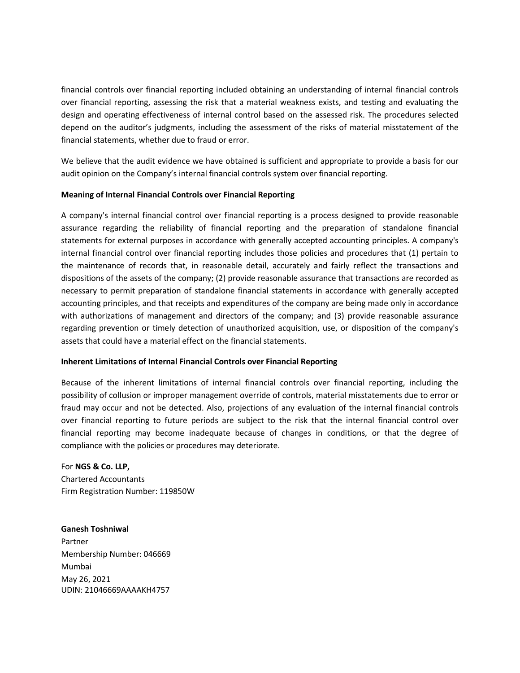financial controls over financial reporting included obtaining an understanding of internal financial controls over financial reporting, assessing the risk that a material weakness exists, and testing and evaluating the design and operating effectiveness of internal control based on the assessed risk. The procedures selected depend on the auditor's judgments, including the assessment of the risks of material misstatement of the financial statements, whether due to fraud or error.

We believe that the audit evidence we have obtained is sufficient and appropriate to provide a basis for our audit opinion on the Company's internal financial controls system over financial reporting.

#### **Meaning of Internal Financial Controls over Financial Reporting**

A company's internal financial control over financial reporting is a process designed to provide reasonable assurance regarding the reliability of financial reporting and the preparation of standalone financial statements for external purposes in accordance with generally accepted accounting principles. A company's internal financial control over financial reporting includes those policies and procedures that (1) pertain to the maintenance of records that, in reasonable detail, accurately and fairly reflect the transactions and dispositions of the assets of the company; (2) provide reasonable assurance that transactions are recorded as necessary to permit preparation of standalone financial statements in accordance with generally accepted accounting principles, and that receipts and expenditures of the company are being made only in accordance with authorizations of management and directors of the company; and (3) provide reasonable assurance regarding prevention or timely detection of unauthorized acquisition, use, or disposition of the company's assets that could have a material effect on the financial statements.

#### **Inherent Limitations of Internal Financial Controls over Financial Reporting**

Because of the inherent limitations of internal financial controls over financial reporting, including the possibility of collusion or improper management override of controls, material misstatements due to error or fraud may occur and not be detected. Also, projections of any evaluation of the internal financial controls over financial reporting to future periods are subject to the risk that the internal financial control over financial reporting may become inadequate because of changes in conditions, or that the degree of compliance with the policies or procedures may deteriorate.

For **NGS & Co. LLP,** Chartered Accountants Firm Registration Number: 119850W

**Ganesh Toshniwal**  Partner Membership Number: 046669 Mumbai May 26, 2021 UDIN: 21046669AAAAKH4757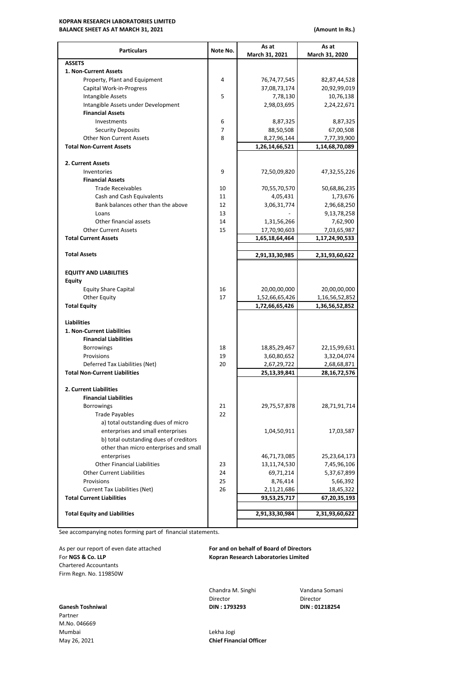#### **KOPRAN RESEARCH LABORATORIES LIMITED BALANCE SHEET AS AT MARCH 31, 2021 (Amount In Rs.)**

| <b>Particulars</b>                             | Note No.       | As at<br>March 31, 2021 | As at<br>March 31, 2020 |
|------------------------------------------------|----------------|-------------------------|-------------------------|
| <b>ASSETS</b>                                  |                |                         |                         |
| 1. Non-Current Assets                          |                |                         |                         |
| Property, Plant and Equipment                  | 4              | 76,74,77,545            | 82,87,44,528            |
| Capital Work-in-Progress                       |                | 37,08,73,174            | 20,92,99,019            |
| Intangible Assets                              | 5              | 7,78,130                | 10,76,138               |
| Intangible Assets under Development            |                | 2,98,03,695             | 2,24,22,671             |
| <b>Financial Assets</b>                        |                |                         |                         |
| Investments                                    | 6              | 8,87,325                | 8,87,325                |
| <b>Security Deposits</b>                       | $\overline{7}$ | 88,50,508               | 67,00,508               |
| <b>Other Non Current Assets</b>                | 8              | 8,27,96,144             | 7,77,39,900             |
| <b>Total Non-Current Assets</b>                |                | 1,26,14,66,521          | 1,14,68,70,089          |
|                                                |                |                         |                         |
| 2. Current Assets                              |                |                         |                         |
| Inventories                                    | 9              | 72,50,09,820            | 47,32,55,226            |
| <b>Financial Assets</b>                        |                |                         |                         |
| <b>Trade Receivables</b>                       | 10             | 70,55,70,570            | 50,68,86,235            |
| Cash and Cash Equivalents                      | 11             | 4,05,431                | 1,73,676                |
| Bank balances other than the above             | 12             | 3,06,31,774             | 2,96,68,250             |
| Loans                                          | 13             |                         | 9,13,78,258             |
| Other financial assets                         | 14             | 1,31,56,266             | 7,62,900                |
| <b>Other Current Assets</b>                    | 15             | 17,70,90,603            | 7,03,65,987             |
| <b>Total Current Assets</b>                    |                | 1,65,18,64,464          | 1,17,24,90,533          |
|                                                |                |                         |                         |
| <b>Total Assets</b>                            |                | 2,91,33,30,985          | 2,31,93,60,622          |
| <b>EQUITY AND LIABILITIES</b><br><b>Equity</b> |                |                         |                         |
| <b>Equity Share Capital</b>                    | 16             | 20,00,00,000            | 20,00,00,000            |
| <b>Other Equity</b>                            | 17             | 1,52,66,65,426          | 1,16,56,52,852          |
| <b>Total Equity</b>                            |                | 1,72,66,65,426          | 1,36,56,52,852          |
|                                                |                |                         |                         |
| <b>Liabilities</b>                             |                |                         |                         |
| 1. Non-Current Liabilities                     |                |                         |                         |
| <b>Financial Liabilities</b>                   |                |                         |                         |
| <b>Borrowings</b>                              | 18             | 18,85,29,467            | 22,15,99,631            |
| Provisions                                     | 19             | 3,60,80,652             | 3,32,04,074             |
| Deferred Tax Liabilities (Net)                 | 20             | 2,67,29,722             | 2,68,68,871             |
| <b>Total Non-Current Liabilities</b>           |                | 25,13,39,841            | 28,16,72,576            |
| 2. Current Liabilities                         |                |                         |                         |
| <b>Financial Liabilities</b>                   |                |                         |                         |
| <b>Borrowings</b>                              | 21             | 29,75,57,878            | 28,71,91,714            |
| <b>Trade Payables</b>                          | 22             |                         |                         |
| a) total outstanding dues of micro             |                |                         |                         |
| enterprises and small enterprises              |                | 1,04,50,911             | 17,03,587               |
| b) total outstanding dues of creditors         |                |                         |                         |
| other than micro enterprises and small         |                |                         |                         |
| enterprises                                    |                | 46,71,73,085            | 25,23,64,173            |
| <b>Other Financial Liabilities</b>             | 23             | 13,11,74,530            | 7,45,96,106             |
| <b>Other Current Liabilities</b>               | 24             | 69,71,214               | 5,37,67,899             |
| Provisions                                     | 25             | 8,76,414                |                         |
| <b>Current Tax Liabilities (Net)</b>           | 26             | 2,11,21,686             | 5,66,392                |
| <b>Total Current Liabilities</b>               |                |                         | 18,45,322               |
|                                                |                | 93,53,25,717            | 67,20,35,193            |
| <b>Total Equity and Liabilities</b>            |                | 2,91,33,30,984          | 2,31,93,60,622          |
|                                                |                |                         |                         |

See accompanying notes forming part of financial statements.

As per our report of even date attached **For and on behalf of Board of Directors** Chartered Accountants Firm Regn. No. 119850W

Partner M.No. 046669 Mumbai Lekha Jogi

For **NGS & Co. LLP Kopran Research Laboratories Limited**

Director Director **Ganesh Toshniwal DIN : 1793293 DIN : 01218254**

Chandra M. Singhi Vandana Somani

May 26, 2021 **Chief Financial Officer**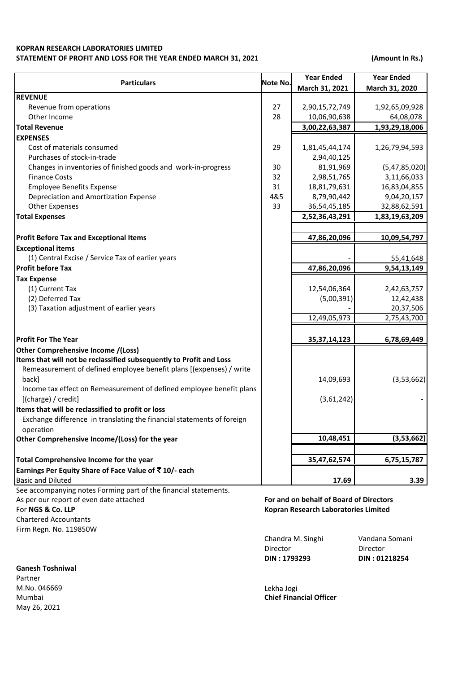#### **KOPRAN RESEARCH LABORATORIES LIMITED STATEMENT OF PROFIT AND LOSS FOR THE YEAR ENDED MARCH 31, 2021 (Amount In Rs.)**

| <b>Particulars</b>                                                     | Note No. | <b>Year Ended</b> | <b>Year Ended</b> |
|------------------------------------------------------------------------|----------|-------------------|-------------------|
|                                                                        |          | March 31, 2021    | March 31, 2020    |
| <b>REVENUE</b>                                                         |          |                   |                   |
| Revenue from operations                                                | 27       | 2,90,15,72,749    | 1,92,65,09,928    |
| Other Income                                                           | 28       | 10,06,90,638      | 64,08,078         |
| <b>Total Revenue</b>                                                   |          | 3,00,22,63,387    | 1,93,29,18,006    |
| <b>EXPENSES</b>                                                        |          |                   |                   |
| Cost of materials consumed                                             | 29       | 1,81,45,44,174    | 1,26,79,94,593    |
| Purchases of stock-in-trade                                            |          | 2,94,40,125       |                   |
| Changes in inventories of finished goods and work-in-progress          | 30       | 81,91,969         | (5,47,85,020)     |
| <b>Finance Costs</b>                                                   | 32       | 2,98,51,765       | 3,11,66,033       |
| <b>Employee Benefits Expense</b>                                       | 31       | 18,81,79,631      | 16,83,04,855      |
| Depreciation and Amortization Expense                                  | 4&5      | 8,79,90,442       | 9,04,20,157       |
| <b>Other Expenses</b>                                                  | 33       | 36,54,45,185      | 32,88,62,591      |
| <b>Total Expenses</b>                                                  |          | 2,52,36,43,291    | 1,83,19,63,209    |
|                                                                        |          |                   |                   |
| <b>Profit Before Tax and Exceptional Items</b>                         |          | 47,86,20,096      | 10,09,54,797      |
| <b>Exceptional items</b>                                               |          |                   |                   |
| (1) Central Excise / Service Tax of earlier years                      |          |                   | 55,41,648         |
| <b>Profit before Tax</b>                                               |          | 47,86,20,096      | 9,54,13,149       |
| <b>Tax Expense</b>                                                     |          |                   |                   |
| (1) Current Tax                                                        |          | 12,54,06,364      | 2,42,63,757       |
| (2) Deferred Tax                                                       |          | (5,00,391)        | 12,42,438         |
| (3) Taxation adjustment of earlier years                               |          |                   | 20,37,506         |
|                                                                        |          | 12,49,05,973      | 2,75,43,700       |
|                                                                        |          |                   |                   |
| <b>Profit For The Year</b>                                             |          | 35, 37, 14, 123   | 6,78,69,449       |
| Other Comprehensive Income /(Loss)                                     |          |                   |                   |
| Items that will not be reclassified subsequently to Profit and Loss    |          |                   |                   |
| Remeasurement of defined employee benefit plans [(expenses) / write    |          |                   |                   |
| back]                                                                  |          | 14,09,693         | (3,53,662)        |
| Income tax effect on Remeasurement of defined employee benefit plans   |          |                   |                   |
| [(charge) / credit]                                                    |          | (3,61,242)        |                   |
| Items that will be reclassified to profit or loss                      |          |                   |                   |
| Exchange difference in translating the financial statements of foreign |          |                   |                   |
| operation                                                              |          |                   |                   |
| Other Comprehensive Income/(Loss) for the year                         |          | 10,48,451         | (3,53,662)        |
| Total Comprehensive Income for the year                                |          | 35,47,62,574      | 6,75,15,787       |
| Earnings Per Equity Share of Face Value of ₹10/- each                  |          |                   |                   |
| <b>Basic and Diluted</b>                                               |          | 17.69             | 3.39              |
| co accomponing notes Forming nort of the financial statement           |          |                   |                   |

See accompanying notes Forming part of the financial statements. As per our report of even date attached **For and on behalf of Board of Directors**

Chartered Accountants Firm Regn. No. 119850W

#### **Ganesh Toshniwal**

Partner M.No. 046669 Lekha Jogi May 26, 2021

# For **NGS & Co. LLP Kopran Research Laboratories Limited**

Chandra M. Singhi Vandana Somani Director Director

**DIN : 1793293 DIN : 01218254**

Mumbai **Chief Financial Officer**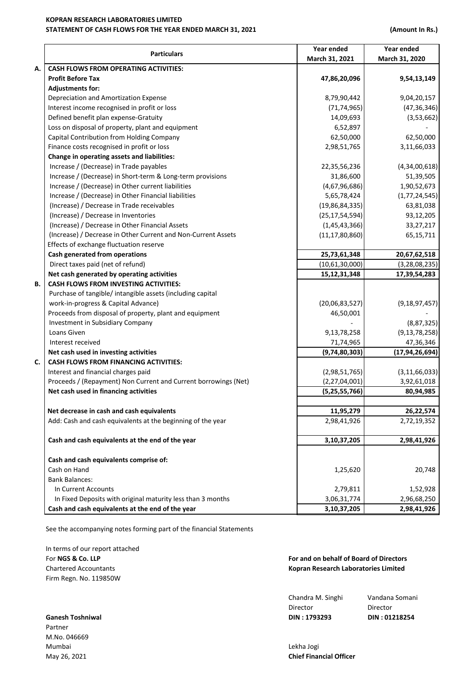#### **KOPRAN RESEARCH LABORATORIES LIMITED STATEMENT OF CASH FLOWS FOR THE YEAR ENDED MARCH 31, 2021 (Amount In Rs.)**

| <b>Particulars</b>                                                                  |                   |
|-------------------------------------------------------------------------------------|-------------------|
| March 31, 2021                                                                      | March 31, 2020    |
| <b>CASH FLOWS FROM OPERATING ACTIVITIES:</b><br>А.                                  |                   |
| <b>Profit Before Tax</b><br>47,86,20,096                                            | 9,54,13,149       |
| <b>Adjustments for:</b>                                                             |                   |
| Depreciation and Amortization Expense<br>8,79,90,442                                | 9,04,20,157       |
| Interest income recognised in profit or loss<br>(71, 74, 965)                       | (47, 36, 346)     |
| Defined benefit plan expense-Gratuity<br>14,09,693                                  | (3,53,662)        |
| Loss on disposal of property, plant and equipment<br>6,52,897                       |                   |
| Capital Contribution from Holding Company<br>62,50,000                              | 62,50,000         |
| Finance costs recognised in profit or loss<br>2,98,51,765                           | 3,11,66,033       |
| Change in operating assets and liabilities:                                         |                   |
| Increase / (Decrease) in Trade payables<br>22,35,56,236                             | (4,34,00,618)     |
| Increase / (Decrease) in Short-term & Long-term provisions<br>31,86,600             | 51,39,505         |
| (4,67,96,686)<br>Increase / (Decrease) in Other current liabilities                 | 1,90,52,673       |
| 5,65,78,424<br>Increase / (Decrease) in Other Financial liabilities                 | (1,77,24,545)     |
| (Increase) / Decrease in Trade receivables<br>(19, 86, 84, 335)                     | 63,81,038         |
| (Increase) / Decrease in Inventories<br>(25, 17, 54, 594)                           | 93,12,205         |
| (Increase) / Decrease in Other Financial Assets<br>(1,45,43,366)                    | 33,27,217         |
| (Increase) / Decrease in Other Current and Non-Current Assets<br>(11, 17, 80, 860)  | 65,15,711         |
| Effects of exchange fluctuation reserve                                             |                   |
| 25,73,61,348<br>Cash generated from operations                                      | 20,67,62,518      |
| Direct taxes paid (net of refund)<br>(10,61,30,000)                                 | (3, 28, 08, 235)  |
| Net cash generated by operating activities<br>15, 12, 31, 348                       | 17,39,54,283      |
| <b>CASH FLOWS FROM INVESTING ACTIVITIES:</b><br>В.                                  |                   |
| Purchase of tangible/ intangible assets (including capital                          |                   |
| work-in-progress & Capital Advance)<br>(20,06,83,527)                               | (9, 18, 97, 457)  |
| Proceeds from disposal of property, plant and equipment<br>46,50,001                |                   |
| Investment in Subsidiary Company                                                    | (8, 87, 325)      |
| Loans Given<br>9,13,78,258                                                          | (9, 13, 78, 258)  |
| 71,74,965<br>Interest received                                                      | 47,36,346         |
| Net cash used in investing activities<br>(9,74,80,303)                              | (17, 94, 26, 694) |
| C.<br><b>CASH FLOWS FROM FINANCING ACTIVITIES:</b>                                  |                   |
| Interest and financial charges paid<br>(2,98,51,765)                                | (3, 11, 66, 033)  |
| Proceeds / (Repayment) Non Current and Current borrowings (Net)<br>(2, 27, 04, 001) | 3,92,61,018       |
| Net cash used in financing activities<br>(5, 25, 55, 766)                           | 80,94,985         |
|                                                                                     |                   |
| Net decrease in cash and cash equivalents<br>11,95,279                              | 26,22,574         |
| Add: Cash and cash equivalents at the beginning of the year<br>2,98,41,926          | 2,72,19,352       |
|                                                                                     |                   |
| Cash and cash equivalents at the end of the year<br>3,10,37,205                     | 2,98,41,926       |
|                                                                                     |                   |
| Cash and cash equivalents comprise of:                                              |                   |
| Cash on Hand<br>1,25,620                                                            | 20,748            |
| <b>Bank Balances:</b>                                                               |                   |
| In Current Accounts<br>2,79,811                                                     | 1,52,928          |
| In Fixed Deposits with original maturity less than 3 months<br>3,06,31,774          | 2,96,68,250       |
| Cash and cash equivalents at the end of the year<br>3, 10, 37, 205                  | 2,98,41,926       |

See the accompanying notes forming part of the financial Statements

In terms of our report attached Firm Regn. No. 119850W

For **NGS & Co. LLP For and on behalf of Board of Directors** Chartered Accountants **Kopran Research Laboratories Limited**

Chandra M. Singhi Vandana Somani Director Director **Ganesh Toshniwal DIN : 1793293 DIN : 01218254**

Partner M.No. 046669 Mumbai Lekha Jogi

May 26, 2021 **Chief Financial Officer**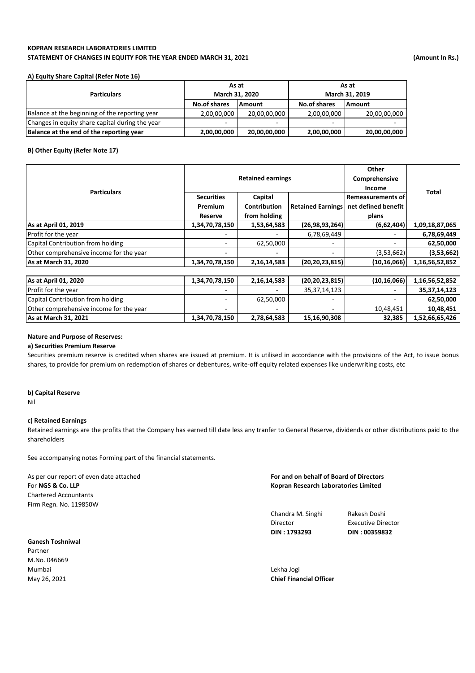#### **KOPRAN RESEARCH LABORATORIES LIMITED** STATEMENT OF CHANGES IN EQUITY FOR THE YEAR ENDED MARCH 31, 2021 **Amount In Rs.)** (Amount In Rs.)

#### **A) Equity Share Capital (Refer Note 16)**

|                                                 | As at               |              | As at          |               |  |
|-------------------------------------------------|---------------------|--------------|----------------|---------------|--|
| <b>Particulars</b>                              | March 31, 2020      |              | March 31, 2019 |               |  |
|                                                 | <b>No.of shares</b> | Amount       | No.of shares   | <b>Amount</b> |  |
| Balance at the beginning of the reporting year  | 2,00,00,000         | 20,00,00,000 | 2,00,00,000    | 20,00,00,000  |  |
| Changes in equity share capital during the year |                     |              |                |               |  |
| Balance at the end of the reporting year        | 2,00,00,000         | 20,00,00,000 | 2,00,00,000    | 20,00,00,000  |  |

#### **B) Other Equity (Refer Note 17)**

| <b>Particulars</b>                      | <b>Retained earnings</b> |                          |                          | Other<br>Comprehensive<br>Income | <b>Total</b>    |
|-----------------------------------------|--------------------------|--------------------------|--------------------------|----------------------------------|-----------------|
|                                         | <b>Securities</b>        | Capital                  |                          | <b>Remeasurements of</b>         |                 |
|                                         | Premium                  | Contribution             | <b>Retained Earnings</b> | net defined benefit              |                 |
|                                         | Reserve                  | from holding             |                          | plans                            |                 |
| As at April 01, 2019                    | 1,34,70,78,150           | 1,53,64,583              | (26, 98, 93, 264)        | (6, 62, 404)                     | 1,09,18,87,065  |
| Profit for the year                     |                          |                          | 6,78,69,449              |                                  | 6,78,69,449     |
| Capital Contribution from holding       |                          | 62,50,000                |                          |                                  | 62,50,000       |
| Other comprehensive income for the year | ۰                        | $\overline{\phantom{a}}$ |                          | (3,53,662)                       | (3,53,662)      |
| As at March 31, 2020                    | 1,34,70,78,150           | 2,16,14,583              | (20, 20, 23, 815)        | (10, 16, 066)                    | 1,16,56,52,852  |
|                                         |                          |                          |                          |                                  |                 |
| As at April 01, 2020                    | 1,34,70,78,150           | 2,16,14,583              | (20, 20, 23, 815)        | (10, 16, 066)                    | 1,16,56,52,852  |
| Profit for the year                     |                          |                          | 35, 37, 14, 123          |                                  | 35, 37, 14, 123 |
| Capital Contribution from holding       |                          | 62,50,000                |                          |                                  | 62,50,000       |
| Other comprehensive income for the year |                          | -                        |                          | 10,48,451                        | 10,48,451       |
| As at March 31, 2021                    | 1,34,70,78,150           | 2,78,64,583              | 15,16,90,308             | 32,385                           | 1,52,66,65,426  |

#### **Nature and Purpose of Reserves:**

#### **a) Securities Premium Reserve**

Securities premium reserve is credited when shares are issued at premium. It is utilised in accordance with the provisions of the Act, to issue bonus shares, to provide for premium on redemption of shares or debentures, write-off equity related expenses like underwriting costs, etc

#### **b) Capital Reserve**

Nil

#### **c) Retained Earnings**

**Ganesh Toshniwal**

Partner M.No. 046669

Retained earnings are the profits that the Company has earned till date less any tranfer to General Reserve, dividends or other distributions paid to the shareholders

See accompanying notes Forming part of the financial statements.

As per our report of even date attached **For and on behalf of Board of Directors** For **NGS & Co. LLP Kopran Research Laboratories Limited** Chartered Accountants Firm Regn. No. 119850W

Chandra M. Singhi Rakesh Doshi Director Executive Director **DIN : 1793293 DIN : 00359832**

Mumbai Lekha Jogi May 26, 2021 **Chief Financial Officer**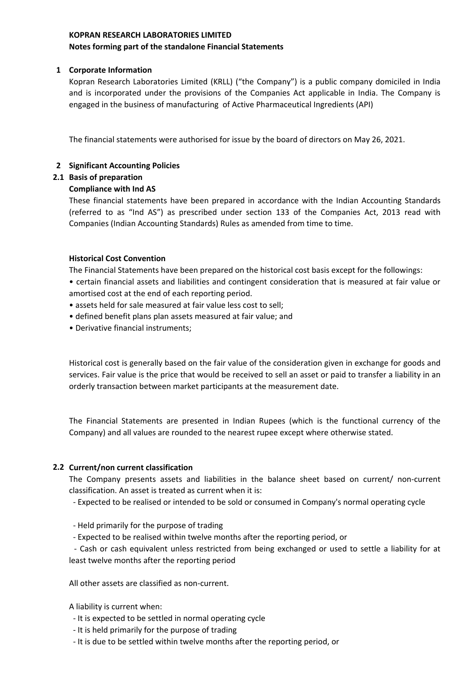## **1 Corporate Information**

Kopran Research Laboratories Limited (KRLL) ("the Company") is a public company domiciled in India and is incorporated under the provisions of the Companies Act applicable in India. The Company is engaged in the business of manufacturing of Active Pharmaceutical Ingredients (API)

The financial statements were authorised for issue by the board of directors on May 26, 2021.

## **2 Significant Accounting Policies**

## **2.1 Basis of preparation**

## **Compliance with Ind AS**

These financial statements have been prepared in accordance with the Indian Accounting Standards (referred to as "Ind AS") as prescribed under section 133 of the Companies Act, 2013 read with Companies (Indian Accounting Standards) Rules as amended from time to time.

## **Historical Cost Convention**

The Financial Statements have been prepared on the historical cost basis except for the followings:

• certain financial assets and liabilities and contingent consideration that is measured at fair value or amortised cost at the end of each reporting period.

- assets held for sale measured at fair value less cost to sell;
- defined benefit plans plan assets measured at fair value; and
- Derivative financial instruments;

Historical cost is generally based on the fair value of the consideration given in exchange for goods and services. Fair value is the price that would be received to sell an asset or paid to transfer a liability in an orderly transaction between market participants at the measurement date.

The Financial Statements are presented in Indian Rupees (which is the functional currency of the Company) and all values are rounded to the nearest rupee except where otherwise stated.

## **2.2 Current/non current classification**

The Company presents assets and liabilities in the balance sheet based on current/ non-current classification. An asset is treated as current when it is:

- Expected to be realised or intended to be sold or consumed in Company's normal operating cycle
- Held primarily for the purpose of trading
- Expected to be realised within twelve months after the reporting period, or

- Cash or cash equivalent unless restricted from being exchanged or used to settle a liability for at least twelve months after the reporting period

All other assets are classified as non-current.

A liability is current when:

- It is expected to be settled in normal operating cycle
- It is held primarily for the purpose of trading
- It is due to be settled within twelve months after the reporting period, or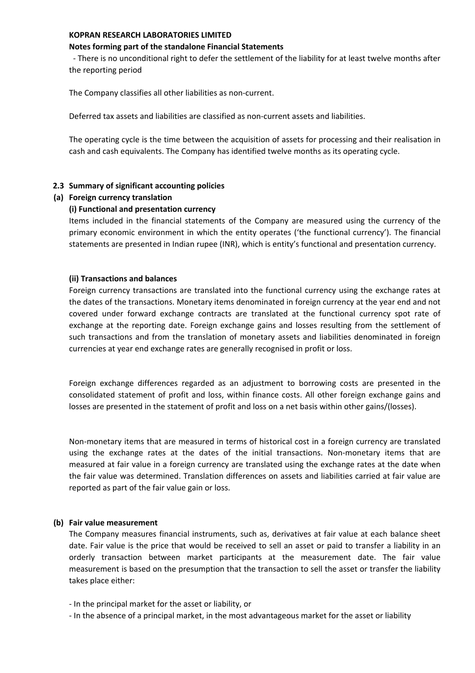#### **Notes forming part of the standalone Financial Statements**

- There is no unconditional right to defer the settlement of the liability for at least twelve months after the reporting period

The Company classifies all other liabilities as non-current.

Deferred tax assets and liabilities are classified as non-current assets and liabilities.

The operating cycle is the time between the acquisition of assets for processing and their realisation in cash and cash equivalents. The Company has identified twelve months as its operating cycle.

## **2.3 Summary of significant accounting policies**

## **(a) Foreign currency translation**

## **(i) Functional and presentation currency**

Items included in the financial statements of the Company are measured using the currency of the primary economic environment in which the entity operates ('the functional currency'). The financial statements are presented in Indian rupee (INR), which is entity's functional and presentation currency.

## **(ii) Transactions and balances**

Foreign currency transactions are translated into the functional currency using the exchange rates at the dates of the transactions. Monetary items denominated in foreign currency at the year end and not covered under forward exchange contracts are translated at the functional currency spot rate of exchange at the reporting date. Foreign exchange gains and losses resulting from the settlement of such transactions and from the translation of monetary assets and liabilities denominated in foreign currencies at year end exchange rates are generally recognised in profit or loss.

Foreign exchange differences regarded as an adjustment to borrowing costs are presented in the consolidated statement of profit and loss, within finance costs. All other foreign exchange gains and losses are presented in the statement of profit and loss on a net basis within other gains/(losses).

Non-monetary items that are measured in terms of historical cost in a foreign currency are translated using the exchange rates at the dates of the initial transactions. Non-monetary items that are measured at fair value in a foreign currency are translated using the exchange rates at the date when the fair value was determined. Translation differences on assets and liabilities carried at fair value are reported as part of the fair value gain or loss.

#### **(b) Fair value measurement**

The Company measures financial instruments, such as, derivatives at fair value at each balance sheet date. Fair value is the price that would be received to sell an asset or paid to transfer a liability in an orderly transaction between market participants at the measurement date. The fair value measurement is based on the presumption that the transaction to sell the asset or transfer the liability takes place either:

- In the principal market for the asset or liability, or
- In the absence of a principal market, in the most advantageous market for the asset or liability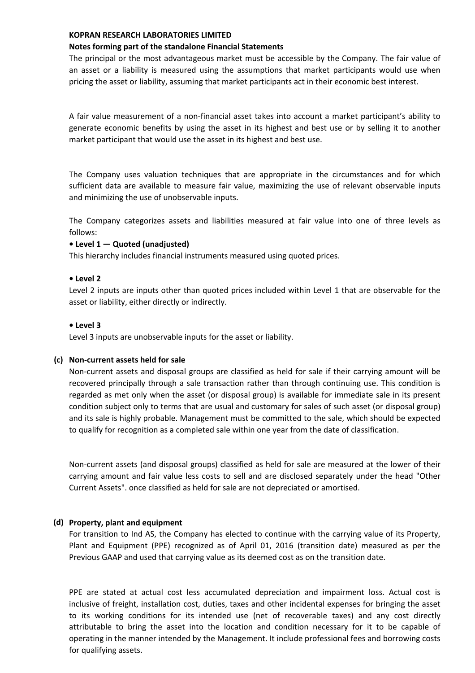#### **Notes forming part of the standalone Financial Statements**

The principal or the most advantageous market must be accessible by the Company. The fair value of an asset or a liability is measured using the assumptions that market participants would use when pricing the asset or liability, assuming that market participants act in their economic best interest.

A fair value measurement of a non-financial asset takes into account a market participant's ability to generate economic benefits by using the asset in its highest and best use or by selling it to another market participant that would use the asset in its highest and best use.

The Company uses valuation techniques that are appropriate in the circumstances and for which sufficient data are available to measure fair value, maximizing the use of relevant observable inputs and minimizing the use of unobservable inputs.

The Company categorizes assets and liabilities measured at fair value into one of three levels as follows:

## **• Level 1 — Quoted (unadjusted)**

This hierarchy includes financial instruments measured using quoted prices.

#### **• Level 2**

Level 2 inputs are inputs other than quoted prices included within Level 1 that are observable for the asset or liability, either directly or indirectly.

#### **• Level 3**

Level 3 inputs are unobservable inputs for the asset or liability.

#### **(c) Non-current assets held for sale**

Non-current assets and disposal groups are classified as held for sale if their carrying amount will be recovered principally through a sale transaction rather than through continuing use. This condition is regarded as met only when the asset (or disposal group) is available for immediate sale in its present condition subject only to terms that are usual and customary for sales of such asset (or disposal group) and its sale is highly probable. Management must be committed to the sale, which should be expected to qualify for recognition as a completed sale within one year from the date of classification.

Non-current assets (and disposal groups) classified as held for sale are measured at the lower of their carrying amount and fair value less costs to sell and are disclosed separately under the head "Other Current Assets". once classified as held for sale are not depreciated or amortised.

#### **(d) Property, plant and equipment**

For transition to Ind AS, the Company has elected to continue with the carrying value of its Property, Plant and Equipment (PPE) recognized as of April 01, 2016 (transition date) measured as per the Previous GAAP and used that carrying value as its deemed cost as on the transition date.

PPE are stated at actual cost less accumulated depreciation and impairment loss. Actual cost is inclusive of freight, installation cost, duties, taxes and other incidental expenses for bringing the asset to its working conditions for its intended use (net of recoverable taxes) and any cost directly attributable to bring the asset into the location and condition necessary for it to be capable of operating in the manner intended by the Management. It include professional fees and borrowing costs for qualifying assets.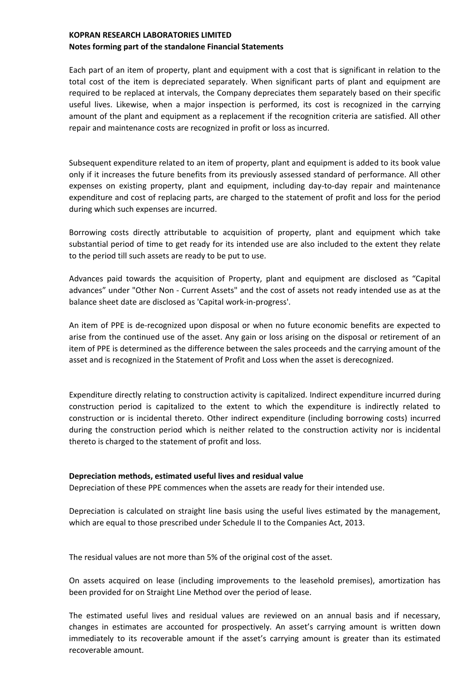Each part of an item of property, plant and equipment with a cost that is significant in relation to the total cost of the item is depreciated separately. When significant parts of plant and equipment are required to be replaced at intervals, the Company depreciates them separately based on their specific useful lives. Likewise, when a major inspection is performed, its cost is recognized in the carrying amount of the plant and equipment as a replacement if the recognition criteria are satisfied. All other repair and maintenance costs are recognized in profit or loss as incurred.

Subsequent expenditure related to an item of property, plant and equipment is added to its book value only if it increases the future benefits from its previously assessed standard of performance. All other expenses on existing property, plant and equipment, including day-to-day repair and maintenance expenditure and cost of replacing parts, are charged to the statement of profit and loss for the period during which such expenses are incurred.

Borrowing costs directly attributable to acquisition of property, plant and equipment which take substantial period of time to get ready for its intended use are also included to the extent they relate to the period till such assets are ready to be put to use.

Advances paid towards the acquisition of Property, plant and equipment are disclosed as "Capital advances" under "Other Non - Current Assets" and the cost of assets not ready intended use as at the balance sheet date are disclosed as 'Capital work-in-progress'.

An item of PPE is de-recognized upon disposal or when no future economic benefits are expected to arise from the continued use of the asset. Any gain or loss arising on the disposal or retirement of an item of PPE is determined as the difference between the sales proceeds and the carrying amount of the asset and is recognized in the Statement of Profit and Loss when the asset is derecognized.

Expenditure directly relating to construction activity is capitalized. Indirect expenditure incurred during construction period is capitalized to the extent to which the expenditure is indirectly related to construction or is incidental thereto. Other indirect expenditure (including borrowing costs) incurred during the construction period which is neither related to the construction activity nor is incidental thereto is charged to the statement of profit and loss.

## **Depreciation methods, estimated useful lives and residual value**

Depreciation of these PPE commences when the assets are ready for their intended use.

Depreciation is calculated on straight line basis using the useful lives estimated by the management, which are equal to those prescribed under Schedule II to the Companies Act, 2013.

The residual values are not more than 5% of the original cost of the asset.

On assets acquired on lease (including improvements to the leasehold premises), amortization has been provided for on Straight Line Method over the period of lease.

The estimated useful lives and residual values are reviewed on an annual basis and if necessary, changes in estimates are accounted for prospectively. An asset's carrying amount is written down immediately to its recoverable amount if the asset's carrying amount is greater than its estimated recoverable amount.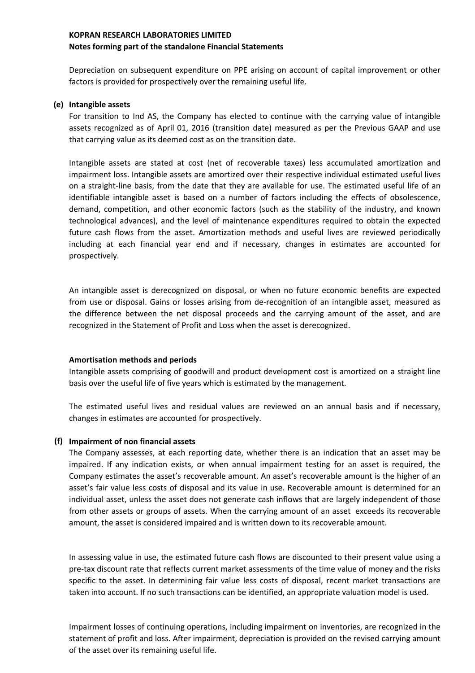#### **Notes forming part of the standalone Financial Statements**

Depreciation on subsequent expenditure on PPE arising on account of capital improvement or other factors is provided for prospectively over the remaining useful life.

#### **(e) Intangible assets**

For transition to Ind AS, the Company has elected to continue with the carrying value of intangible assets recognized as of April 01, 2016 (transition date) measured as per the Previous GAAP and use that carrying value as its deemed cost as on the transition date.

Intangible assets are stated at cost (net of recoverable taxes) less accumulated amortization and impairment loss. Intangible assets are amortized over their respective individual estimated useful lives on a straight-line basis, from the date that they are available for use. The estimated useful life of an identifiable intangible asset is based on a number of factors including the effects of obsolescence, demand, competition, and other economic factors (such as the stability of the industry, and known technological advances), and the level of maintenance expenditures required to obtain the expected future cash flows from the asset. Amortization methods and useful lives are reviewed periodically including at each financial year end and if necessary, changes in estimates are accounted for prospectively.

An intangible asset is derecognized on disposal, or when no future economic benefits are expected from use or disposal. Gains or losses arising from de-recognition of an intangible asset, measured as the difference between the net disposal proceeds and the carrying amount of the asset, and are recognized in the Statement of Profit and Loss when the asset is derecognized.

#### **Amortisation methods and periods**

Intangible assets comprising of goodwill and product development cost is amortized on a straight line basis over the useful life of five years which is estimated by the management.

The estimated useful lives and residual values are reviewed on an annual basis and if necessary, changes in estimates are accounted for prospectively.

#### **(f) Impairment of non financial assets**

The Company assesses, at each reporting date, whether there is an indication that an asset may be impaired. If any indication exists, or when annual impairment testing for an asset is required, the Company estimates the asset's recoverable amount. An asset's recoverable amount is the higher of an asset's fair value less costs of disposal and its value in use. Recoverable amount is determined for an individual asset, unless the asset does not generate cash inflows that are largely independent of those from other assets or groups of assets. When the carrying amount of an asset exceeds its recoverable amount, the asset is considered impaired and is written down to its recoverable amount.

In assessing value in use, the estimated future cash flows are discounted to their present value using a pre-tax discount rate that reflects current market assessments of the time value of money and the risks specific to the asset. In determining fair value less costs of disposal, recent market transactions are taken into account. If no such transactions can be identified, an appropriate valuation model is used.

Impairment losses of continuing operations, including impairment on inventories, are recognized in the statement of profit and loss. After impairment, depreciation is provided on the revised carrying amount of the asset over its remaining useful life.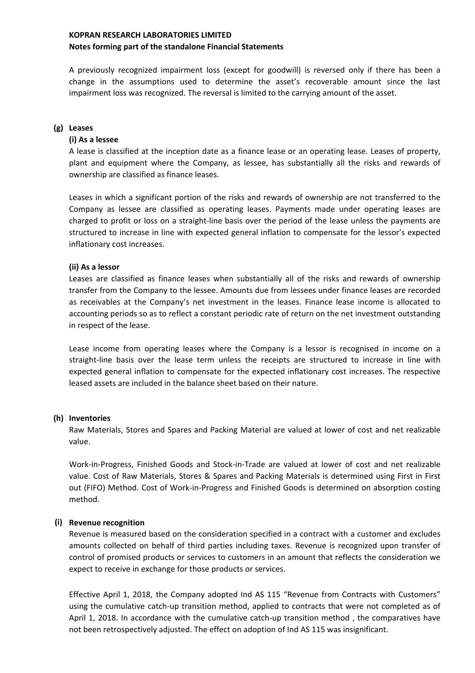#### **Notes forming part of the standalone Financial Statements**

A previously recognized impairment loss (except for goodwill) is reversed only if there has been a change in the assumptions used to determine the asset's recoverable amount since the last impairment loss was recognized. The reversal is limited to the carrying amount of the asset.

#### **(g) Leases**

#### **(i) As a lessee**

A lease is classified at the inception date as a finance lease or an operating lease. Leases of property, plant and equipment where the Company, as lessee, has substantially all the risks and rewards of ownership are classified as finance leases.

Leases in which a significant portion of the risks and rewards of ownership are not transferred to the Company as lessee are classified as operating leases. Payments made under operating leases are charged to profit or loss on a straight-line basis over the period of the lease unless the payments are structured to increase in line with expected general inflation to compensate for the lessor's expected inflationary cost increases.

#### **(ii) As a lessor**

Leases are classified as finance leases when substantially all of the risks and rewards of ownership transfer from the Company to the lessee. Amounts due from lessees under finance leases are recorded as receivables at the Company's net investment in the leases. Finance lease income is allocated to accounting periods so as to reflect a constant periodic rate of return on the net investment outstanding in respect of the lease.

Lease income from operating leases where the Company is a lessor is recognised in income on a straight-line basis over the lease term unless the receipts are structured to increase in line with expected general inflation to compensate for the expected inflationary cost increases. The respective leased assets are included in the balance sheet based on their nature.

#### **(h) Inventories**

Raw Materials, Stores and Spares and Packing Material are valued at lower of cost and net realizable value.

Work-in-Progress, Finished Goods and Stock-in-Trade are valued at lower of cost and net realizable value. Cost of Raw Materials, Stores & Spares and Packing Materials is determined using First in First out (FIFO) Method. Cost of Work-in-Progress and Finished Goods is determined on absorption costing method.

#### **(i) Revenue recognition**

Revenue is measured based on the consideration specified in a contract with a customer and excludes amounts collected on behalf of third parties including taxes. Revenue is recognized upon transfer of control of promised products or services to customers in an amount that reflects the consideration we expect to receive in exchange for those products or services.

Effective April 1, 2018, the Company adopted Ind AS 115 "Revenue from Contracts with Customers" using the cumulative catch-up transition method, applied to contracts that were not completed as of April 1, 2018. In accordance with the cumulative catch-up transition method , the comparatives have not been retrospectively adjusted. The effect on adoption of Ind AS 115 was insignificant.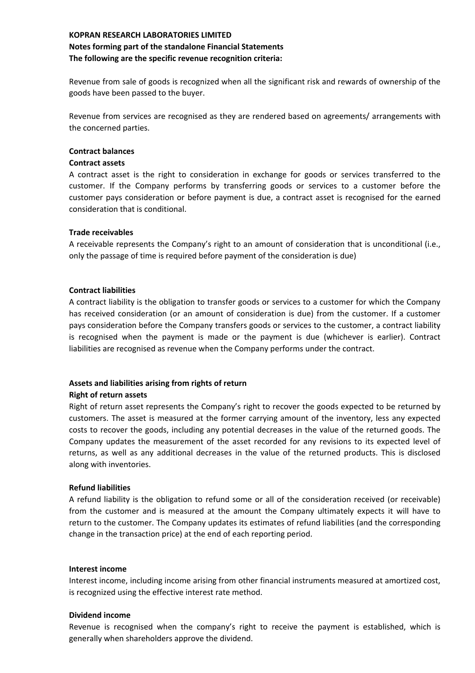## **KOPRAN RESEARCH LABORATORIES LIMITED Notes forming part of the standalone Financial Statements The following are the specific revenue recognition criteria:**

Revenue from sale of goods is recognized when all the significant risk and rewards of ownership of the goods have been passed to the buyer.

Revenue from services are recognised as they are rendered based on agreements/ arrangements with the concerned parties.

#### **Contract balances**

#### **Contract assets**

A contract asset is the right to consideration in exchange for goods or services transferred to the customer. If the Company performs by transferring goods or services to a customer before the customer pays consideration or before payment is due, a contract asset is recognised for the earned consideration that is conditional.

#### **Trade receivables**

A receivable represents the Company's right to an amount of consideration that is unconditional (i.e., only the passage of time is required before payment of the consideration is due)

#### **Contract liabilities**

A contract liability is the obligation to transfer goods or services to a customer for which the Company has received consideration (or an amount of consideration is due) from the customer. If a customer pays consideration before the Company transfers goods or services to the customer, a contract liability is recognised when the payment is made or the payment is due (whichever is earlier). Contract liabilities are recognised as revenue when the Company performs under the contract.

#### **Assets and liabilities arising from rights of return**

#### **Right of return assets**

Right of return asset represents the Company's right to recover the goods expected to be returned by customers. The asset is measured at the former carrying amount of the inventory, less any expected costs to recover the goods, including any potential decreases in the value of the returned goods. The Company updates the measurement of the asset recorded for any revisions to its expected level of returns, as well as any additional decreases in the value of the returned products. This is disclosed along with inventories.

#### **Refund liabilities**

A refund liability is the obligation to refund some or all of the consideration received (or receivable) from the customer and is measured at the amount the Company ultimately expects it will have to return to the customer. The Company updates its estimates of refund liabilities (and the corresponding change in the transaction price) at the end of each reporting period.

#### **Interest income**

Interest income, including income arising from other financial instruments measured at amortized cost, is recognized using the effective interest rate method.

#### **Dividend income**

Revenue is recognised when the company's right to receive the payment is established, which is generally when shareholders approve the dividend.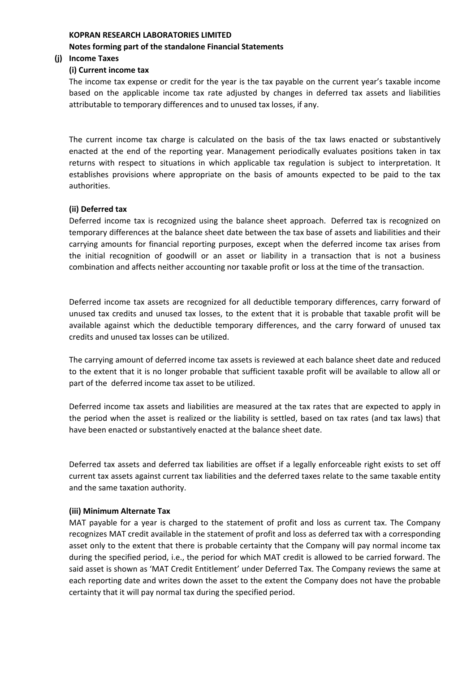#### **Notes forming part of the standalone Financial Statements**

#### **(j) Income Taxes**

#### **(i) Current income tax**

The income tax expense or credit for the year is the tax payable on the current year's taxable income based on the applicable income tax rate adjusted by changes in deferred tax assets and liabilities attributable to temporary differences and to unused tax losses, if any.

The current income tax charge is calculated on the basis of the tax laws enacted or substantively enacted at the end of the reporting year. Management periodically evaluates positions taken in tax returns with respect to situations in which applicable tax regulation is subject to interpretation. It establishes provisions where appropriate on the basis of amounts expected to be paid to the tax authorities.

#### **(ii) Deferred tax**

Deferred income tax is recognized using the balance sheet approach. Deferred tax is recognized on temporary differences at the balance sheet date between the tax base of assets and liabilities and their carrying amounts for financial reporting purposes, except when the deferred income tax arises from the initial recognition of goodwill or an asset or liability in a transaction that is not a business combination and affects neither accounting nor taxable profit or loss at the time of the transaction.

Deferred income tax assets are recognized for all deductible temporary differences, carry forward of unused tax credits and unused tax losses, to the extent that it is probable that taxable profit will be available against which the deductible temporary differences, and the carry forward of unused tax credits and unused tax losses can be utilized.

The carrying amount of deferred income tax assets is reviewed at each balance sheet date and reduced to the extent that it is no longer probable that sufficient taxable profit will be available to allow all or part of the deferred income tax asset to be utilized.

Deferred income tax assets and liabilities are measured at the tax rates that are expected to apply in the period when the asset is realized or the liability is settled, based on tax rates (and tax laws) that have been enacted or substantively enacted at the balance sheet date.

Deferred tax assets and deferred tax liabilities are offset if a legally enforceable right exists to set off current tax assets against current tax liabilities and the deferred taxes relate to the same taxable entity and the same taxation authority.

#### **(iii) Minimum Alternate Tax**

MAT payable for a year is charged to the statement of profit and loss as current tax. The Company recognizes MAT credit available in the statement of profit and loss as deferred tax with a corresponding asset only to the extent that there is probable certainty that the Company will pay normal income tax during the specified period, i.e., the period for which MAT credit is allowed to be carried forward. The said asset is shown as 'MAT Credit Entitlement' under Deferred Tax. The Company reviews the same at each reporting date and writes down the asset to the extent the Company does not have the probable certainty that it will pay normal tax during the specified period.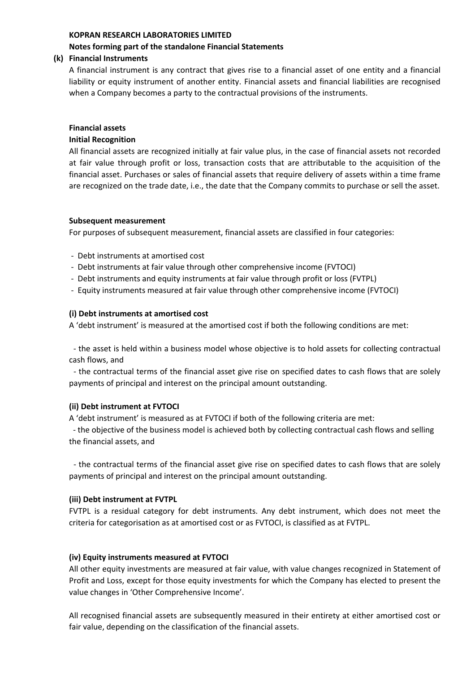#### **Notes forming part of the standalone Financial Statements**

#### **(k) Financial Instruments**

A financial instrument is any contract that gives rise to a financial asset of one entity and a financial liability or equity instrument of another entity. Financial assets and financial liabilities are recognised when a Company becomes a party to the contractual provisions of the instruments.

#### **Financial assets**

#### **Initial Recognition**

All financial assets are recognized initially at fair value plus, in the case of financial assets not recorded at fair value through profit or loss, transaction costs that are attributable to the acquisition of the financial asset. Purchases or sales of financial assets that require delivery of assets within a time frame are recognized on the trade date, i.e., the date that the Company commits to purchase or sell the asset.

#### **Subsequent measurement**

For purposes of subsequent measurement, financial assets are classified in four categories:

- Debt instruments at amortised cost
- Debt instruments at fair value through other comprehensive income (FVTOCI)
- Debt instruments and equity instruments at fair value through profit or loss (FVTPL)
- Equity instruments measured at fair value through other comprehensive income (FVTOCI)

#### **(i) Debt instruments at amortised cost**

A 'debt instrument' is measured at the amortised cost if both the following conditions are met:

- the asset is held within a business model whose objective is to hold assets for collecting contractual cash flows, and

- the contractual terms of the financial asset give rise on specified dates to cash flows that are solely payments of principal and interest on the principal amount outstanding.

#### **(ii) Debt instrument at FVTOCI**

A 'debt instrument' is measured as at FVTOCI if both of the following criteria are met:

 - the objective of the business model is achieved both by collecting contractual cash flows and selling the financial assets, and

- the contractual terms of the financial asset give rise on specified dates to cash flows that are solely payments of principal and interest on the principal amount outstanding.

#### **(iii) Debt instrument at FVTPL**

FVTPL is a residual category for debt instruments. Any debt instrument, which does not meet the criteria for categorisation as at amortised cost or as FVTOCI, is classified as at FVTPL.

### **(iv) Equity instruments measured at FVTOCI**

All other equity investments are measured at fair value, with value changes recognized in Statement of Profit and Loss, except for those equity investments for which the Company has elected to present the value changes in 'Other Comprehensive Income'.

All recognised financial assets are subsequently measured in their entirety at either amortised cost or fair value, depending on the classification of the financial assets.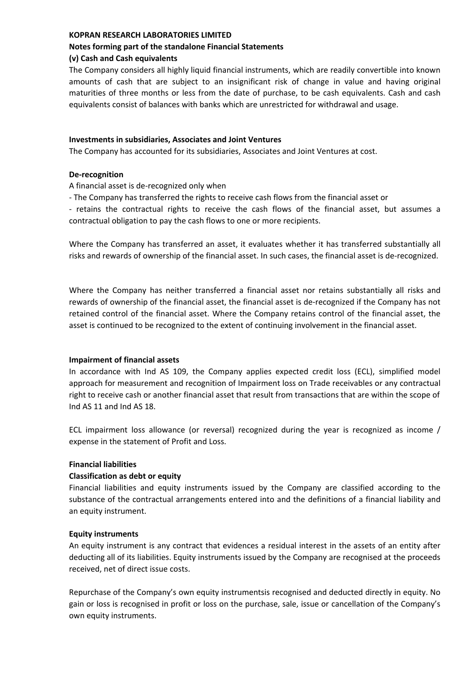#### **Notes forming part of the standalone Financial Statements**

## **(v) Cash and Cash equivalents**

The Company considers all highly liquid financial instruments, which are readily convertible into known amounts of cash that are subject to an insignificant risk of change in value and having original maturities of three months or less from the date of purchase, to be cash equivalents. Cash and cash equivalents consist of balances with banks which are unrestricted for withdrawal and usage.

### **Investments in subsidiaries, Associates and Joint Ventures**

The Company has accounted for its subsidiaries, Associates and Joint Ventures at cost.

## **De-recognition**

A financial asset is de-recognized only when

- The Company has transferred the rights to receive cash flows from the financial asset or

- retains the contractual rights to receive the cash flows of the financial asset, but assumes a contractual obligation to pay the cash flows to one or more recipients.

Where the Company has transferred an asset, it evaluates whether it has transferred substantially all risks and rewards of ownership of the financial asset. In such cases, the financial asset is de-recognized.

Where the Company has neither transferred a financial asset nor retains substantially all risks and rewards of ownership of the financial asset, the financial asset is de-recognized if the Company has not retained control of the financial asset. Where the Company retains control of the financial asset, the asset is continued to be recognized to the extent of continuing involvement in the financial asset.

#### **Impairment of financial assets**

In accordance with Ind AS 109, the Company applies expected credit loss (ECL), simplified model approach for measurement and recognition of Impairment loss on Trade receivables or any contractual right to receive cash or another financial asset that result from transactions that are within the scope of Ind AS 11 and Ind AS 18.

ECL impairment loss allowance (or reversal) recognized during the year is recognized as income / expense in the statement of Profit and Loss.

## **Financial liabilities**

## **Classification as debt or equity**

Financial liabilities and equity instruments issued by the Company are classified according to the substance of the contractual arrangements entered into and the definitions of a financial liability and an equity instrument.

#### **Equity instruments**

An equity instrument is any contract that evidences a residual interest in the assets of an entity after deducting all of its liabilities. Equity instruments issued by the Company are recognised at the proceeds received, net of direct issue costs.

Repurchase of the Company's own equity instrumentsis recognised and deducted directly in equity. No gain or loss is recognised in profit or loss on the purchase, sale, issue or cancellation of the Company's own equity instruments.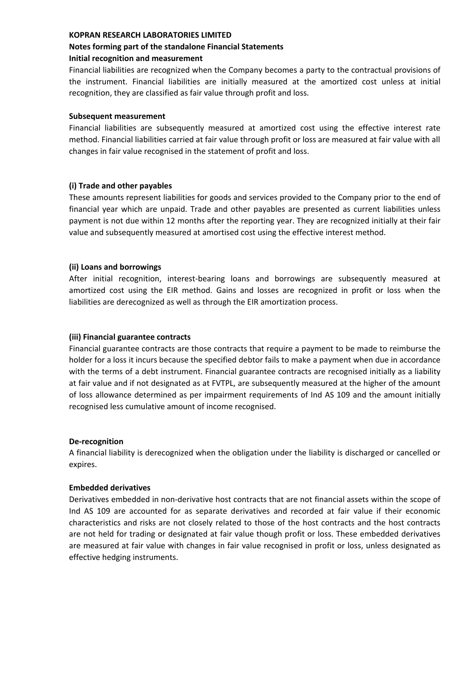## **Notes forming part of the standalone Financial Statements**

## **Initial recognition and measurement**

Financial liabilities are recognized when the Company becomes a party to the contractual provisions of the instrument. Financial liabilities are initially measured at the amortized cost unless at initial recognition, they are classified as fair value through profit and loss.

#### **Subsequent measurement**

Financial liabilities are subsequently measured at amortized cost using the effective interest rate method. Financial liabilities carried at fair value through profit or loss are measured at fair value with all changes in fair value recognised in the statement of profit and loss.

#### **(i) Trade and other payables**

These amounts represent liabilities for goods and services provided to the Company prior to the end of financial year which are unpaid. Trade and other payables are presented as current liabilities unless payment is not due within 12 months after the reporting year. They are recognized initially at their fair value and subsequently measured at amortised cost using the effective interest method.

## **(ii) Loans and borrowings**

After initial recognition, interest-bearing loans and borrowings are subsequently measured at amortized cost using the EIR method. Gains and losses are recognized in profit or loss when the liabilities are derecognized as well as through the EIR amortization process.

#### **(iii) Financial guarantee contracts**

Financial guarantee contracts are those contracts that require a payment to be made to reimburse the holder for a loss it incurs because the specified debtor fails to make a payment when due in accordance with the terms of a debt instrument. Financial guarantee contracts are recognised initially as a liability at fair value and if not designated as at FVTPL, are subsequently measured at the higher of the amount of loss allowance determined as per impairment requirements of Ind AS 109 and the amount initially recognised less cumulative amount of income recognised.

#### **De-recognition**

A financial liability is derecognized when the obligation under the liability is discharged or cancelled or expires.

#### **Embedded derivatives**

Derivatives embedded in non-derivative host contracts that are not financial assets within the scope of Ind AS 109 are accounted for as separate derivatives and recorded at fair value if their economic characteristics and risks are not closely related to those of the host contracts and the host contracts are not held for trading or designated at fair value though profit or loss. These embedded derivatives are measured at fair value with changes in fair value recognised in profit or loss, unless designated as effective hedging instruments.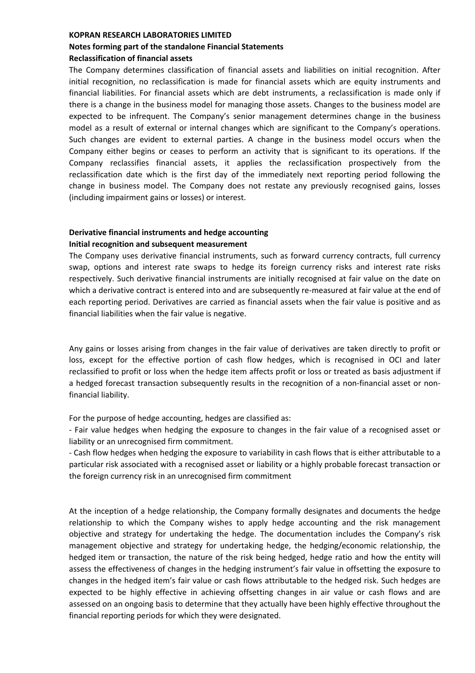## **Notes forming part of the standalone Financial Statements Reclassification of financial assets**

The Company determines classification of financial assets and liabilities on initial recognition. After initial recognition, no reclassification is made for financial assets which are equity instruments and financial liabilities. For financial assets which are debt instruments, a reclassification is made only if there is a change in the business model for managing those assets. Changes to the business model are expected to be infrequent. The Company's senior management determines change in the business model as a result of external or internal changes which are significant to the Company's operations. Such changes are evident to external parties. A change in the business model occurs when the Company either begins or ceases to perform an activity that is significant to its operations. If the Company reclassifies financial assets, it applies the reclassification prospectively from the reclassification date which is the first day of the immediately next reporting period following the change in business model. The Company does not restate any previously recognised gains, losses (including impairment gains or losses) or interest.

## **Derivative financial instruments and hedge accounting Initial recognition and subsequent measurement**

The Company uses derivative financial instruments, such as forward currency contracts, full currency swap, options and interest rate swaps to hedge its foreign currency risks and interest rate risks respectively. Such derivative financial instruments are initially recognised at fair value on the date on which a derivative contract is entered into and are subsequently re-measured at fair value at the end of each reporting period. Derivatives are carried as financial assets when the fair value is positive and as financial liabilities when the fair value is negative.

Any gains or losses arising from changes in the fair value of derivatives are taken directly to profit or loss, except for the effective portion of cash flow hedges, which is recognised in OCI and later reclassified to profit or loss when the hedge item affects profit or loss or treated as basis adjustment if a hedged forecast transaction subsequently results in the recognition of a non-financial asset or nonfinancial liability.

For the purpose of hedge accounting, hedges are classified as:

- Fair value hedges when hedging the exposure to changes in the fair value of a recognised asset or liability or an unrecognised firm commitment.

- Cash flow hedges when hedging the exposure to variability in cash flows that is either attributable to a particular risk associated with a recognised asset or liability or a highly probable forecast transaction or the foreign currency risk in an unrecognised firm commitment

At the inception of a hedge relationship, the Company formally designates and documents the hedge relationship to which the Company wishes to apply hedge accounting and the risk management objective and strategy for undertaking the hedge. The documentation includes the Company's risk management objective and strategy for undertaking hedge, the hedging/economic relationship, the hedged item or transaction, the nature of the risk being hedged, hedge ratio and how the entity will assess the effectiveness of changes in the hedging instrument's fair value in offsetting the exposure to changes in the hedged item's fair value or cash flows attributable to the hedged risk. Such hedges are expected to be highly effective in achieving offsetting changes in air value or cash flows and are assessed on an ongoing basis to determine that they actually have been highly effective throughout the financial reporting periods for which they were designated.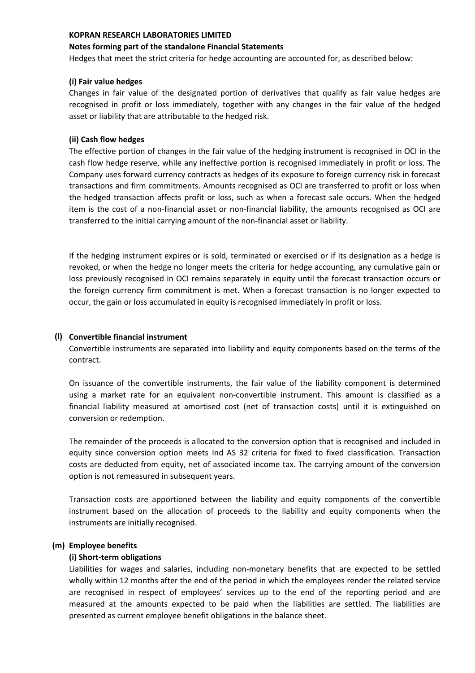#### **Notes forming part of the standalone Financial Statements**

Hedges that meet the strict criteria for hedge accounting are accounted for, as described below:

## **(i) Fair value hedges**

Changes in fair value of the designated portion of derivatives that qualify as fair value hedges are recognised in profit or loss immediately, together with any changes in the fair value of the hedged asset or liability that are attributable to the hedged risk.

## **(ii) Cash flow hedges**

The effective portion of changes in the fair value of the hedging instrument is recognised in OCI in the cash flow hedge reserve, while any ineffective portion is recognised immediately in profit or loss. The Company uses forward currency contracts as hedges of its exposure to foreign currency risk in forecast transactions and firm commitments. Amounts recognised as OCI are transferred to profit or loss when the hedged transaction affects profit or loss, such as when a forecast sale occurs. When the hedged item is the cost of a non-financial asset or non-financial liability, the amounts recognised as OCI are transferred to the initial carrying amount of the non-financial asset or liability.

If the hedging instrument expires or is sold, terminated or exercised or if its designation as a hedge is revoked, or when the hedge no longer meets the criteria for hedge accounting, any cumulative gain or loss previously recognised in OCI remains separately in equity until the forecast transaction occurs or the foreign currency firm commitment is met. When a forecast transaction is no longer expected to occur, the gain or loss accumulated in equity is recognised immediately in profit or loss.

### **(l) Convertible financial instrument**

Convertible instruments are separated into liability and equity components based on the terms of the contract.

On issuance of the convertible instruments, the fair value of the liability component is determined using a market rate for an equivalent non-convertible instrument. This amount is classified as a financial liability measured at amortised cost (net of transaction costs) until it is extinguished on conversion or redemption.

The remainder of the proceeds is allocated to the conversion option that is recognised and included in equity since conversion option meets Ind AS 32 criteria for fixed to fixed classification. Transaction costs are deducted from equity, net of associated income tax. The carrying amount of the conversion option is not remeasured in subsequent years.

Transaction costs are apportioned between the liability and equity components of the convertible instrument based on the allocation of proceeds to the liability and equity components when the instruments are initially recognised.

#### **(m) Employee benefits**

#### **(i) Short-term obligations**

Liabilities for wages and salaries, including non-monetary benefits that are expected to be settled wholly within 12 months after the end of the period in which the employees render the related service are recognised in respect of employees' services up to the end of the reporting period and are measured at the amounts expected to be paid when the liabilities are settled. The liabilities are presented as current employee benefit obligations in the balance sheet.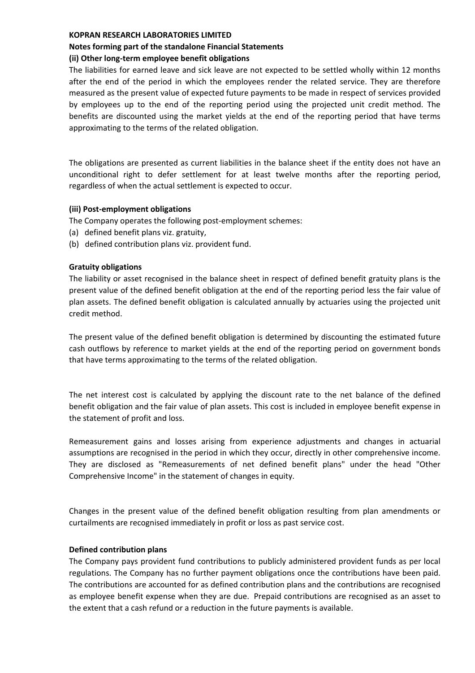#### **Notes forming part of the standalone Financial Statements**

### **(ii) Other long-term employee benefit obligations**

The liabilities for earned leave and sick leave are not expected to be settled wholly within 12 months after the end of the period in which the employees render the related service. They are therefore measured as the present value of expected future payments to be made in respect of services provided by employees up to the end of the reporting period using the projected unit credit method. The benefits are discounted using the market yields at the end of the reporting period that have terms approximating to the terms of the related obligation.

The obligations are presented as current liabilities in the balance sheet if the entity does not have an unconditional right to defer settlement for at least twelve months after the reporting period, regardless of when the actual settlement is expected to occur.

## **(iii) Post-employment obligations**

The Company operates the following post-employment schemes:

- (a) defined benefit plans viz. gratuity,
- (b) defined contribution plans viz. provident fund.

## **Gratuity obligations**

The liability or asset recognised in the balance sheet in respect of defined benefit gratuity plans is the present value of the defined benefit obligation at the end of the reporting period less the fair value of plan assets. The defined benefit obligation is calculated annually by actuaries using the projected unit credit method.

The present value of the defined benefit obligation is determined by discounting the estimated future cash outflows by reference to market yields at the end of the reporting period on government bonds that have terms approximating to the terms of the related obligation.

The net interest cost is calculated by applying the discount rate to the net balance of the defined benefit obligation and the fair value of plan assets. This cost is included in employee benefit expense in the statement of profit and loss.

Remeasurement gains and losses arising from experience adjustments and changes in actuarial assumptions are recognised in the period in which they occur, directly in other comprehensive income. They are disclosed as "Remeasurements of net defined benefit plans" under the head "Other Comprehensive Income" in the statement of changes in equity.

Changes in the present value of the defined benefit obligation resulting from plan amendments or curtailments are recognised immediately in profit or loss as past service cost.

#### **Defined contribution plans**

The Company pays provident fund contributions to publicly administered provident funds as per local regulations. The Company has no further payment obligations once the contributions have been paid. The contributions are accounted for as defined contribution plans and the contributions are recognised as employee benefit expense when they are due. Prepaid contributions are recognised as an asset to the extent that a cash refund or a reduction in the future payments is available.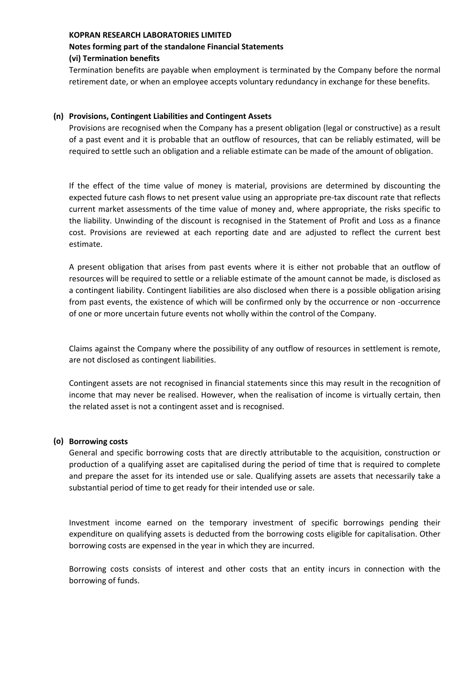## **Notes forming part of the standalone Financial Statements (vi) Termination benefits**

Termination benefits are payable when employment is terminated by the Company before the normal retirement date, or when an employee accepts voluntary redundancy in exchange for these benefits.

### **(n) Provisions, Contingent Liabilities and Contingent Assets**

Provisions are recognised when the Company has a present obligation (legal or constructive) as a result of a past event and it is probable that an outflow of resources, that can be reliably estimated, will be required to settle such an obligation and a reliable estimate can be made of the amount of obligation.

If the effect of the time value of money is material, provisions are determined by discounting the expected future cash flows to net present value using an appropriate pre-tax discount rate that reflects current market assessments of the time value of money and, where appropriate, the risks specific to the liability. Unwinding of the discount is recognised in the Statement of Profit and Loss as a finance cost. Provisions are reviewed at each reporting date and are adjusted to reflect the current best estimate.

A present obligation that arises from past events where it is either not probable that an outflow of resources will be required to settle or a reliable estimate of the amount cannot be made, is disclosed as a contingent liability. Contingent liabilities are also disclosed when there is a possible obligation arising from past events, the existence of which will be confirmed only by the occurrence or non -occurrence of one or more uncertain future events not wholly within the control of the Company.

Claims against the Company where the possibility of any outflow of resources in settlement is remote, are not disclosed as contingent liabilities.

Contingent assets are not recognised in financial statements since this may result in the recognition of income that may never be realised. However, when the realisation of income is virtually certain, then the related asset is not a contingent asset and is recognised.

#### **(o) Borrowing costs**

General and specific borrowing costs that are directly attributable to the acquisition, construction or production of a qualifying asset are capitalised during the period of time that is required to complete and prepare the asset for its intended use or sale. Qualifying assets are assets that necessarily take a substantial period of time to get ready for their intended use or sale.

Investment income earned on the temporary investment of specific borrowings pending their expenditure on qualifying assets is deducted from the borrowing costs eligible for capitalisation. Other borrowing costs are expensed in the year in which they are incurred.

Borrowing costs consists of interest and other costs that an entity incurs in connection with the borrowing of funds.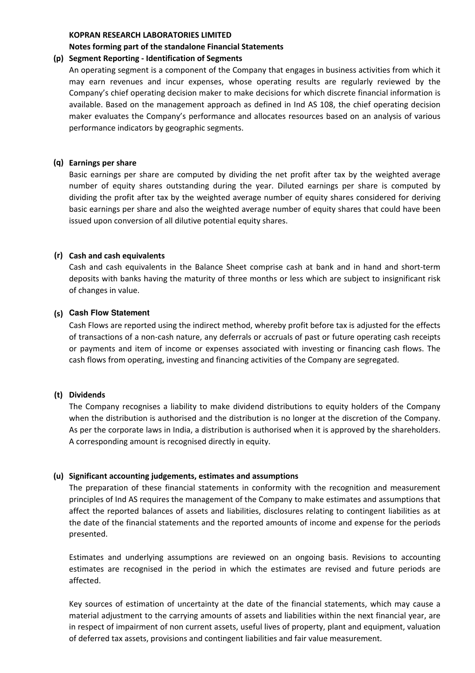#### **Notes forming part of the standalone Financial Statements**

### **(p) Segment Reporting - Identification of Segments**

An operating segment is a component of the Company that engages in business activities from which it may earn revenues and incur expenses, whose operating results are regularly reviewed by the Company's chief operating decision maker to make decisions for which discrete financial information is available. Based on the management approach as defined in Ind AS 108, the chief operating decision maker evaluates the Company's performance and allocates resources based on an analysis of various performance indicators by geographic segments.

## **(q) Earnings per share**

Basic earnings per share are computed by dividing the net profit after tax by the weighted average number of equity shares outstanding during the year. Diluted earnings per share is computed by dividing the profit after tax by the weighted average number of equity shares considered for deriving basic earnings per share and also the weighted average number of equity shares that could have been issued upon conversion of all dilutive potential equity shares.

## **(r) Cash and cash equivalents**

Cash and cash equivalents in the Balance Sheet comprise cash at bank and in hand and short-term deposits with banks having the maturity of three months or less which are subject to insignificant risk of changes in value.

## **(s) Cash Flow Statement**

Cash Flows are reported using the indirect method, whereby profit before tax is adjusted for the effects of transactions of a non-cash nature, any deferrals or accruals of past or future operating cash receipts or payments and item of income or expenses associated with investing or financing cash flows. The cash flows from operating, investing and financing activities of the Company are segregated.

## **(t) Dividends**

The Company recognises a liability to make dividend distributions to equity holders of the Company when the distribution is authorised and the distribution is no longer at the discretion of the Company. As per the corporate laws in India, a distribution is authorised when it is approved by the shareholders. A corresponding amount is recognised directly in equity.

## **(u) Significant accounting judgements, estimates and assumptions**

The preparation of these financial statements in conformity with the recognition and measurement principles of Ind AS requires the management of the Company to make estimates and assumptions that affect the reported balances of assets and liabilities, disclosures relating to contingent liabilities as at the date of the financial statements and the reported amounts of income and expense for the periods presented.

Estimates and underlying assumptions are reviewed on an ongoing basis. Revisions to accounting estimates are recognised in the period in which the estimates are revised and future periods are affected.

Key sources of estimation of uncertainty at the date of the financial statements, which may cause a material adjustment to the carrying amounts of assets and liabilities within the next financial year, are in respect of impairment of non current assets, useful lives of property, plant and equipment, valuation of deferred tax assets, provisions and contingent liabilities and fair value measurement.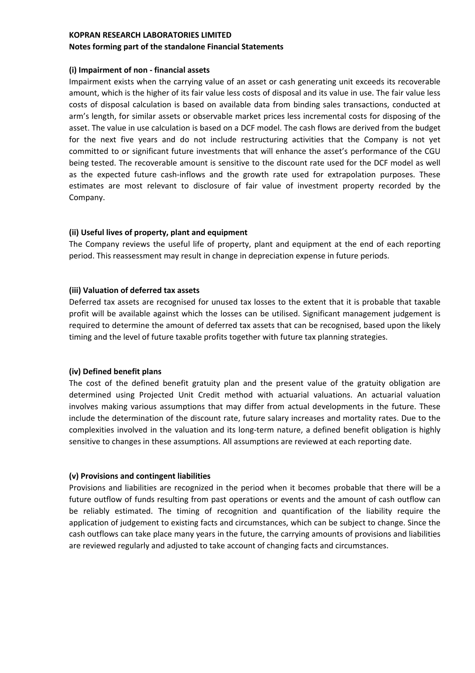#### **Notes forming part of the standalone Financial Statements**

### **(i) Impairment of non - financial assets**

Impairment exists when the carrying value of an asset or cash generating unit exceeds its recoverable amount, which is the higher of its fair value less costs of disposal and its value in use. The fair value less costs of disposal calculation is based on available data from binding sales transactions, conducted at arm's length, for similar assets or observable market prices less incremental costs for disposing of the asset. The value in use calculation is based on a DCF model. The cash flows are derived from the budget for the next five years and do not include restructuring activities that the Company is not yet committed to or significant future investments that will enhance the asset's performance of the CGU being tested. The recoverable amount is sensitive to the discount rate used for the DCF model as well as the expected future cash-inflows and the growth rate used for extrapolation purposes. These estimates are most relevant to disclosure of fair value of investment property recorded by the Company.

## **(ii) Useful lives of property, plant and equipment**

The Company reviews the useful life of property, plant and equipment at the end of each reporting period. This reassessment may result in change in depreciation expense in future periods.

## **(iii) Valuation of deferred tax assets**

Deferred tax assets are recognised for unused tax losses to the extent that it is probable that taxable profit will be available against which the losses can be utilised. Significant management judgement is required to determine the amount of deferred tax assets that can be recognised, based upon the likely timing and the level of future taxable profits together with future tax planning strategies.

## **(iv) Defined benefit plans**

The cost of the defined benefit gratuity plan and the present value of the gratuity obligation are determined using Projected Unit Credit method with actuarial valuations. An actuarial valuation involves making various assumptions that may differ from actual developments in the future. These include the determination of the discount rate, future salary increases and mortality rates. Due to the complexities involved in the valuation and its long-term nature, a defined benefit obligation is highly sensitive to changes in these assumptions. All assumptions are reviewed at each reporting date.

#### **(v) Provisions and contingent liabilities**

Provisions and liabilities are recognized in the period when it becomes probable that there will be a future outflow of funds resulting from past operations or events and the amount of cash outflow can be reliably estimated. The timing of recognition and quantification of the liability require the application of judgement to existing facts and circumstances, which can be subject to change. Since the cash outflows can take place many years in the future, the carrying amounts of provisions and liabilities are reviewed regularly and adjusted to take account of changing facts and circumstances.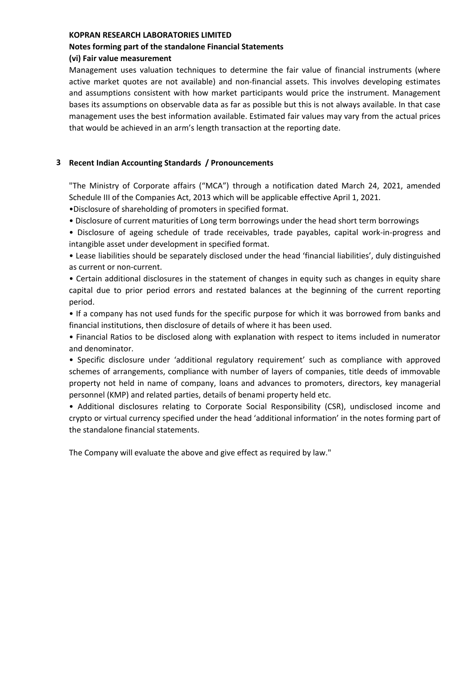#### **Notes forming part of the standalone Financial Statements**

#### **(vi) Fair value measurement**

Management uses valuation techniques to determine the fair value of financial instruments (where active market quotes are not available) and non-financial assets. This involves developing estimates and assumptions consistent with how market participants would price the instrument. Management bases its assumptions on observable data as far as possible but this is not always available. In that case management uses the best information available. Estimated fair values may vary from the actual prices that would be achieved in an arm's length transaction at the reporting date.

## **3 Recent Indian Accounting Standards / Pronouncements**

"The Ministry of Corporate affairs ("MCA") through a notification dated March 24, 2021, amended Schedule III of the Companies Act, 2013 which will be applicable effective April 1, 2021.

•Disclosure of shareholding of promoters in specified format.

- Disclosure of current maturities of Long term borrowings under the head short term borrowings
- Disclosure of ageing schedule of trade receivables, trade payables, capital work-in-progress and intangible asset under development in specified format.

• Lease liabilities should be separately disclosed under the head 'financial liabilities', duly distinguished as current or non-current.

• Certain additional disclosures in the statement of changes in equity such as changes in equity share capital due to prior period errors and restated balances at the beginning of the current reporting period.

• If a company has not used funds for the specific purpose for which it was borrowed from banks and financial institutions, then disclosure of details of where it has been used.

• Financial Ratios to be disclosed along with explanation with respect to items included in numerator and denominator.

• Specific disclosure under 'additional regulatory requirement' such as compliance with approved schemes of arrangements, compliance with number of layers of companies, title deeds of immovable property not held in name of company, loans and advances to promoters, directors, key managerial personnel (KMP) and related parties, details of benami property held etc.

• Additional disclosures relating to Corporate Social Responsibility (CSR), undisclosed income and crypto or virtual currency specified under the head 'additional information' in the notes forming part of the standalone financial statements.

The Company will evaluate the above and give effect as required by law."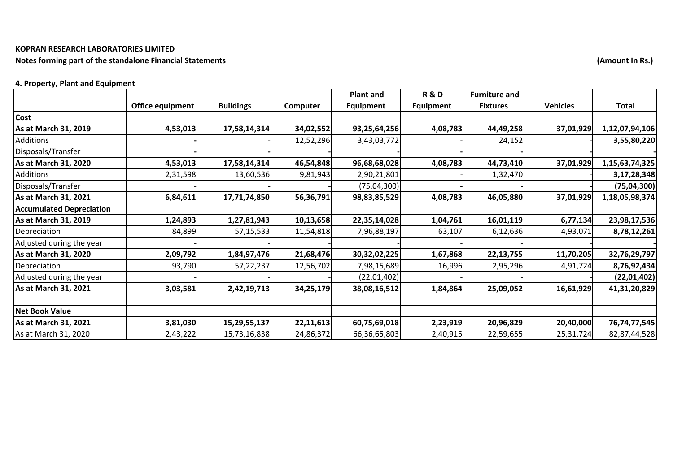**Notes forming part of the standalone Financial Statements**

## **4. Property, Plant and Equipment**

|                                 |                  |                  |           | <b>Plant and</b> | <b>R&amp;D</b> | <b>Furniture and</b> |                 |                    |
|---------------------------------|------------------|------------------|-----------|------------------|----------------|----------------------|-----------------|--------------------|
|                                 | Office equipment | <b>Buildings</b> | Computer  | Equipment        | Equipment      | <b>Fixtures</b>      | <b>Vehicles</b> | <b>Total</b>       |
| <b>Cost</b>                     |                  |                  |           |                  |                |                      |                 |                    |
| As at March 31, 2019            | 4,53,013         | 17,58,14,314     | 34,02,552 | 93,25,64,256     | 4,08,783       | 44,49,258            | 37,01,929       | 1,12,07,94,106     |
| Additions                       |                  |                  | 12,52,296 | 3,43,03,772      |                | 24,152               |                 | 3,55,80,220        |
| Disposals/Transfer              |                  |                  |           |                  |                |                      |                 |                    |
| As at March 31, 2020            | 4,53,013         | 17,58,14,314     | 46,54,848 | 96,68,68,028     | 4,08,783       | 44,73,410            | 37,01,929       | 1, 15, 63, 74, 325 |
| Additions                       | 2,31,598         | 13,60,536        | 9,81,943  | 2,90,21,801      |                | 1,32,470             |                 | 3,17,28,348        |
| Disposals/Transfer              |                  |                  |           | (75, 04, 300)    |                |                      |                 | (75, 04, 300)      |
| As at March 31, 2021            | 6,84,611         | 17,71,74,850     | 56,36,791 | 98,83,85,529     | 4,08,783       | 46,05,880            | 37,01,929       | 1,18,05,98,374     |
| <b>Accumulated Depreciation</b> |                  |                  |           |                  |                |                      |                 |                    |
| As at March 31, 2019            | 1,24,893         | 1,27,81,943      | 10,13,658 | 22,35,14,028     | 1,04,761       | 16,01,119            | 6,77,134        | 23,98,17,536       |
| Depreciation                    | 84,899           | 57, 15, 533      | 11,54,818 | 7,96,88,197      | 63,107         | 6,12,636             | 4,93,071        | 8,78,12,261        |
| Adjusted during the year        |                  |                  |           |                  |                |                      |                 |                    |
| As at March 31, 2020            | 2,09,792         | 1,84,97,476      | 21,68,476 | 30, 32, 02, 225  | 1,67,868       | 22,13,755            | 11,70,205       | 32,76,29,797       |
| Depreciation                    | 93,790           | 57,22,237        | 12,56,702 | 7,98,15,689      | 16,996         | 2,95,296             | 4,91,724        | 8,76,92,434        |
| Adjusted during the year        |                  |                  |           | (22,01,402)      |                |                      |                 | (22,01,402)        |
| As at March 31, 2021            | 3,03,581         | 2,42,19,713      | 34,25,179 | 38,08,16,512     | 1,84,864       | 25,09,052            | 16,61,929       | 41,31,20,829       |
|                                 |                  |                  |           |                  |                |                      |                 |                    |
| <b>Net Book Value</b>           |                  |                  |           |                  |                |                      |                 |                    |
| As at March 31, 2021            | 3,81,030         | 15,29,55,137     | 22,11,613 | 60,75,69,018     | 2,23,919       | 20,96,829            | 20,40,000       | 76,74,77,545       |
| As at March 31, 2020            | 2,43,222         | 15,73,16,838     | 24,86,372 | 66,36,65,803     | 2,40,915       | 22,59,655            | 25, 31, 724     | 82,87,44,528       |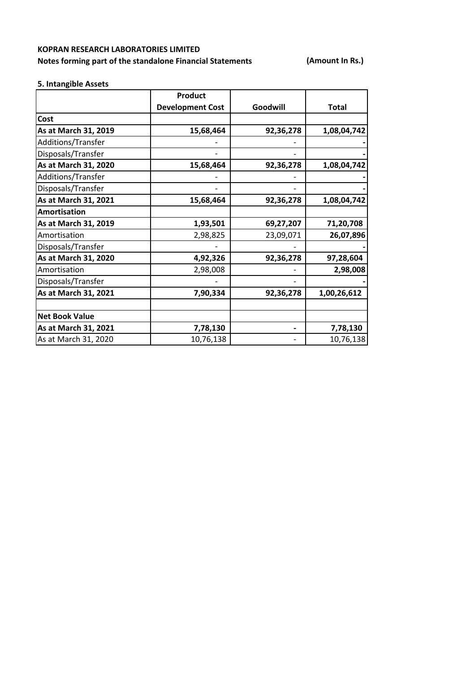## **Notes forming part of the standalone Financial Statements (Amount In Rs.)**

## **5. Intangible Assets**

|                       | Product                 |           |              |
|-----------------------|-------------------------|-----------|--------------|
|                       | <b>Development Cost</b> | Goodwill  | <b>Total</b> |
| Cost                  |                         |           |              |
| As at March 31, 2019  | 15,68,464               | 92,36,278 | 1,08,04,742  |
| Additions/Transfer    |                         |           |              |
| Disposals/Transfer    |                         |           |              |
| As at March 31, 2020  | 15,68,464               | 92,36,278 | 1,08,04,742  |
| Additions/Transfer    |                         |           |              |
| Disposals/Transfer    |                         |           |              |
| As at March 31, 2021  | 15,68,464               | 92,36,278 | 1,08,04,742  |
| <b>Amortisation</b>   |                         |           |              |
| As at March 31, 2019  | 1,93,501                | 69,27,207 | 71,20,708    |
| Amortisation          | 2,98,825                | 23,09,071 | 26,07,896    |
| Disposals/Transfer    |                         |           |              |
| As at March 31, 2020  | 4,92,326                | 92,36,278 | 97,28,604    |
| Amortisation          | 2,98,008                |           | 2,98,008     |
| Disposals/Transfer    |                         |           |              |
| As at March 31, 2021  | 7,90,334                | 92,36,278 | 1,00,26,612  |
|                       |                         |           |              |
| <b>Net Book Value</b> |                         |           |              |
| As at March 31, 2021  | 7,78,130                |           | 7,78,130     |
| As at March 31, 2020  | 10,76,138               |           | 10,76,138    |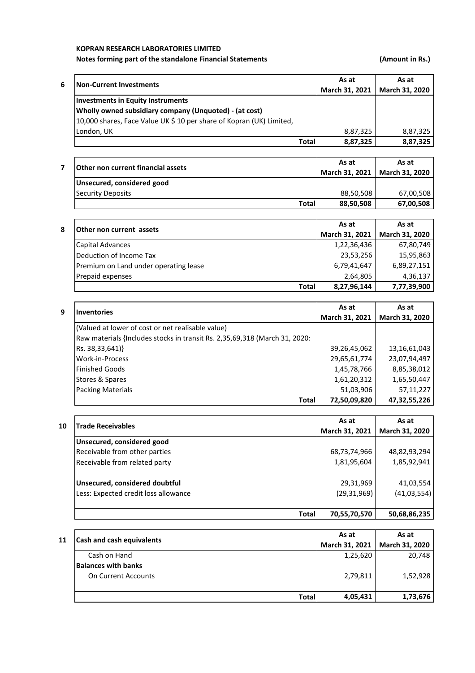#### **Notes forming part of the standalone Financial Statements (Amount in Rs.)**

 **As at** 

| 6 | <b>Non-Current Investments</b>                                       |              | As at          | As at          |
|---|----------------------------------------------------------------------|--------------|----------------|----------------|
|   |                                                                      |              | March 31, 2021 | March 31, 2020 |
|   | <b>Investments in Equity Instruments</b>                             |              |                |                |
|   | Wholly owned subsidiary company (Unquoted) - (at cost)               |              |                |                |
|   | 10,000 shares, Face Value UK \$ 10 per share of Kopran (UK) Limited, |              |                |                |
|   | London, UK                                                           |              | 8,87,325       | 8.87.325       |
|   |                                                                      | <b>Total</b> | 8,87,325       | 8,87,325       |

**7** Other non current financial assets **As at As at**  As at **Assets** 

| TOther non current financial assets |       | March 31, 2021   March 31, 2020 |           |
|-------------------------------------|-------|---------------------------------|-----------|
| Unsecured, considered good          |       |                                 |           |
| Security Deposits                   |       | 88,50,508                       | 67,00,508 |
|                                     | Total | 88,50,508                       | 67,00,508 |
|                                     |       |                                 |           |
|                                     |       | $A - 2 +$                       | $A - 2 +$ |

| 8 | Other non current assets              | As at          | As at          |
|---|---------------------------------------|----------------|----------------|
|   |                                       | March 31, 2021 | March 31, 2020 |
|   | <b>Capital Advances</b>               | 1,22,36,436    | 67,80,749      |
|   | Deduction of Income Tax               | 23,53,256      | 15,95,863      |
|   | Premium on Land under operating lease | 6,79,41,647    | 6,89,27,151    |
|   | Prepaid expenses                      | 2,64,805       | 4,36,137       |
|   | <b>Total</b>                          | 8,27,96,144    | 7,77,39,900    |

|                                                                            | As at          | As at          |
|----------------------------------------------------------------------------|----------------|----------------|
| 9<br><b>Inventories</b>                                                    | March 31, 2021 | March 31, 2020 |
| (Valued at lower of cost or net realisable value)                          |                |                |
| Raw materials {Includes stocks in transit Rs. 2,35,69,318 (March 31, 2020: |                |                |
| Rs. 38, 33, 641)                                                           | 39,26,45,062   | 13,16,61,043   |
| Work-in-Process                                                            | 29,65,61,774   | 23,07,94,497   |
| <b>Finished Goods</b>                                                      | 1,45,78,766    | 8,85,38,012    |
| Stores & Spares                                                            | 1,61,20,312    | 1,65,50,447    |
| <b>Packing Materials</b>                                                   | 51,03,906      | 57,11,227      |
| <b>Total</b>                                                               | 72,50,09,820   | 47,32,55,226   |

|    | <b>Trade Receivables</b>             | As at          | As at          |
|----|--------------------------------------|----------------|----------------|
| 10 |                                      | March 31, 2021 | March 31, 2020 |
|    | Unsecured, considered good           |                |                |
|    | Receivable from other parties        | 68,73,74,966   | 48,82,93,294   |
|    | Receivable from related party        | 1,81,95,604    | 1,85,92,941    |
|    | Unsecured, considered doubtful       | 29,31,969      | 41,03,554      |
|    | Less: Expected credit loss allowance | (29, 31, 969)  | (41,03,554)    |
|    | <b>Total</b>                         | 70,55,70,570   | 50,68,86,235   |

| 11 |                                  |                | As at          | As at    |
|----|----------------------------------|----------------|----------------|----------|
|    | <b>Cash and cash equivalents</b> | March 31, 2021 | March 31, 2020 |          |
|    | Cash on Hand                     |                | 1,25,620       | 20,748   |
|    | <b>Balances with banks</b>       |                |                |          |
|    | <b>On Current Accounts</b>       |                | 2,79,811       | 1,52,928 |
|    |                                  |                |                |          |
|    |                                  | Total          | 4,05,431       | 1,73,676 |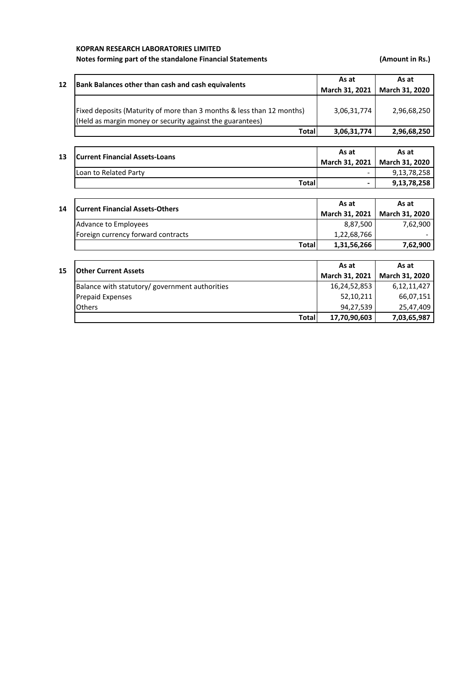## **Notes forming part of the standalone Financial Statements (Amount in Rs.)**

| 12 | Bank Balances other than cash and cash equivalents                                                                                 | As at<br>March 31, 2021 | As at<br>March 31, 2020 |
|----|------------------------------------------------------------------------------------------------------------------------------------|-------------------------|-------------------------|
|    | Fixed deposits (Maturity of more than 3 months & less than 12 months)<br>(Held as margin money or security against the guarantees) | 3,06,31,774             | 2,96,68,250             |
|    | <b>Total</b>                                                                                                                       | 3,06,31,774             | 2,96,68,250             |

| 13 | <b>Current Financial Assets-Loans</b> | As at                           | As at       |
|----|---------------------------------------|---------------------------------|-------------|
|    |                                       | March 31, 2021   March 31, 2020 |             |
|    | Loan to Related Party                 | -                               | 9,13,78,258 |
|    | <b>Total</b>                          |                                 | 9,13,78,258 |

| 14 | <b>Current Financial Assets-Others</b> | As at          | As at                 |
|----|----------------------------------------|----------------|-----------------------|
|    |                                        | March 31, 2021 | <b>March 31, 2020</b> |
|    | Advance to Employees                   | 8,87,500       | 7.62.900              |
|    | Foreign currency forward contracts     | 1,22,68,766    |                       |
|    | <b>Total</b>                           | 1,31,56,266    | 7.62.900              |

| 15 |                                                | As at          | As at                 |
|----|------------------------------------------------|----------------|-----------------------|
|    | <b>IOther Current Assets</b>                   | March 31, 2021 | <b>March 31, 2020</b> |
|    | Balance with statutory/ government authorities | 16,24,52,853   | 6,12,11,427           |
|    | <b>Prepaid Expenses</b>                        | 52,10,211      | 66,07,151             |
|    | <b>Others</b>                                  | 94,27,539      | 25.47.409             |
|    | <b>Total</b>                                   | 17,70,90,603   | 7,03,65,987           |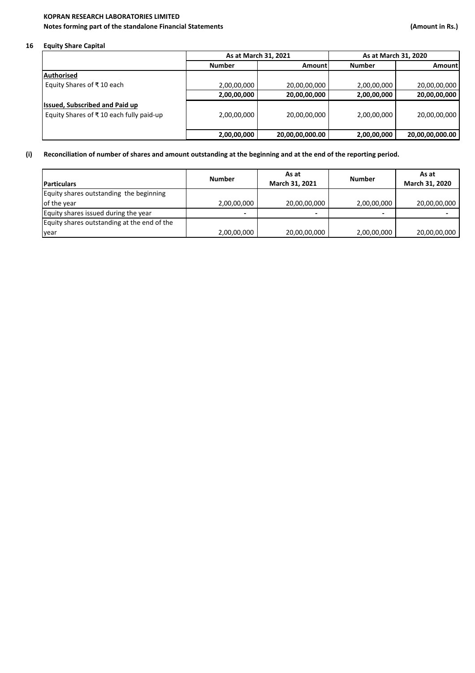#### **16 Equity Share Capital**

|                                                                                           | As at March 31, 2021 |                 | As at March 31, 2020 |                 |
|-------------------------------------------------------------------------------------------|----------------------|-----------------|----------------------|-----------------|
|                                                                                           | <b>Number</b>        | Amountl         | <b>Number</b>        | <b>Amount</b>   |
| <b>Authorised</b>                                                                         |                      |                 |                      |                 |
| Equity Shares of ₹10 each                                                                 | 2,00,00,000          | 20,00,00,000    | 2,00,00,000          | 20,00,00,000    |
|                                                                                           | 2,00,00,000          | 20,00,00,000    | 2,00,00,000          | 20,00,00,000    |
| <b>Issued, Subscribed and Paid up</b><br>Equity Shares of $\bar{x}$ 10 each fully paid-up | 2,00,00,000          | 20,00,00,000    | 2,00,00,000          | 20,00,00,000    |
|                                                                                           | 2,00,00,000          | 20,00,00,000.00 | 2,00,00,000          | 20,00,00,000.00 |

#### **(i) Reconciliation of number of shares and amount outstanding at the beginning and at the end of the reporting period.**

| <b>IParticulars</b>                         | <b>Number</b>            | As at<br>March 31, 2021 | <b>Number</b> | As at<br>March 31, 2020 |
|---------------------------------------------|--------------------------|-------------------------|---------------|-------------------------|
| Equity shares outstanding the beginning     |                          |                         |               |                         |
| of the year                                 | 2,00,00,000              | 20,00,00,000            | 2,00,00,000   | 20,00,00,000            |
| Equity shares issued during the year        | $\overline{\phantom{0}}$ |                         |               |                         |
| Equity shares outstanding at the end of the |                          |                         |               |                         |
| year                                        | 2,00,00,000              | 20,00,00,000            | 2,00,00,000   | 20,00,00,000            |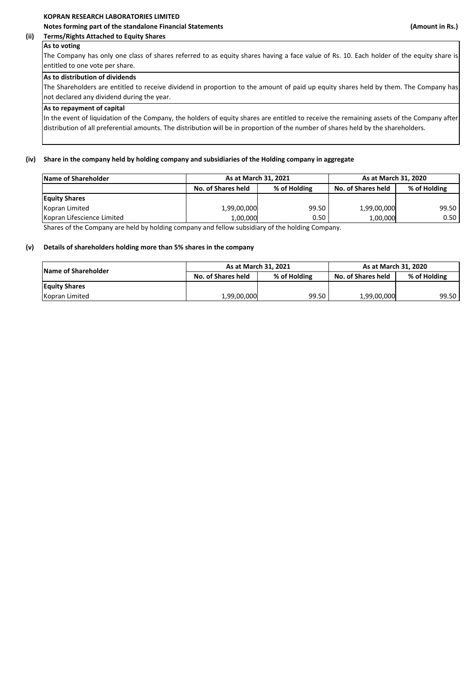#### **Notes forming part of the standalone Financial Statements (Amount in Rs.)**

## **(ii) Terms/Rights Attached to Equity Shares**

#### **As to voting**

The Company has only one class of shares referred to as equity shares having a face value of Rs. 10. Each holder of the equity share is entitled to one vote per share.

#### **As to distribution of dividends**

The Shareholders are entitled to receive dividend in proportion to the amount of paid up equity shares held by them. The Company has not declared any dividend during the year.

#### **As to repayment of capital**

In the event of liquidation of the Company, the holders of equity shares are entitled to receive the remaining assets of the Company after distribution of all preferential amounts. The distribution will be in proportion of the number of shares held by the shareholders.

#### **(iv) Share in the company held by holding company and subsidiaries of the Holding company in aggregate**

| <b>Name of Shareholder</b> | As at March 31, 2021 |              | As at March 31, 2020 |              |
|----------------------------|----------------------|--------------|----------------------|--------------|
|                            | No. of Shares held   | % of Holding | No. of Shares held   | % of Holding |
| <b>Equity Shares</b>       |                      |              |                      |              |
| Kopran Limited             | 1,99,00,000          | 99.50        | 1,99,00,000          | 99.50        |
| Kopran Lifescience Limited | 1,00,000             | 0.50         | 1,00,000             | 0.50         |

Shares of the Company are held by holding company and fellow subsidiary of the holding Company.

#### **(v) Details of shareholders holding more than 5% shares in the company**

| Name of Shareholder  | As at March 31, 2021 |              | As at March 31, 2020 |              |
|----------------------|----------------------|--------------|----------------------|--------------|
|                      | No. of Shares held   | % of Holding | No. of Shares held   | % of Holding |
| <b>Equity Shares</b> |                      |              |                      |              |
| Kopran Limited       | 1,99,00,000          | 99.50        | 1,99,00,000          | 99.50        |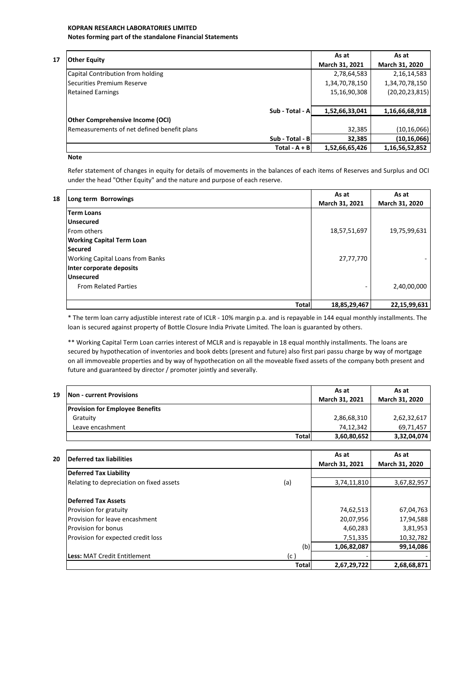|    |                                             |                 | As at          | As at             |
|----|---------------------------------------------|-----------------|----------------|-------------------|
| 17 | <b>Other Equity</b>                         |                 | March 31, 2021 | March 31, 2020    |
|    | Capital Contribution from holding           |                 | 2,78,64,583    | 2,16,14,583       |
|    | Securities Premium Reserve                  |                 | 1,34,70,78,150 | 1,34,70,78,150    |
|    | <b>Retained Earnings</b>                    |                 | 15,16,90,308   | (20, 20, 23, 815) |
|    |                                             | Sub - Total - A | 1,52,66,33,041 | 1,16,66,68,918    |
|    | <b>Other Comprehensive Income (OCI)</b>     |                 |                |                   |
|    | Remeasurements of net defined benefit plans |                 | 32,385         | (10, 16, 066)     |
|    |                                             | Sub - Total - B | 32,385         | (10, 16, 066)     |
|    |                                             | Total - $A + B$ | 1,52,66,65,426 | 1,16,56,52,852    |

#### **Note**

Refer statement of changes in equity for details of movements in the balances of each items of Reserves and Surplus and OCI under the head "Other Equity" and the nature and purpose of each reserve.

| 18<br>Long term Borrowings              |              | As at          | As at          |
|-----------------------------------------|--------------|----------------|----------------|
|                                         |              | March 31, 2021 | March 31, 2020 |
| <b>Term Loans</b>                       |              |                |                |
| <b>Unsecured</b>                        |              |                |                |
| From others                             |              | 18,57,51,697   | 19,75,99,631   |
| <b>Working Capital Term Loan</b>        |              |                |                |
| <b>Secured</b>                          |              |                |                |
| <b>Working Capital Loans from Banks</b> |              | 27,77,770      |                |
| Inter corporate deposits                |              |                |                |
| <b>Unsecured</b>                        |              |                |                |
| <b>From Related Parties</b>             |              |                | 2,40,00,000    |
|                                         |              |                |                |
|                                         | <b>Total</b> | 18,85,29,467   | 22,15,99,631   |

\* The term loan carry adjustible interest rate of ICLR - 10% margin p.a. and is repayable in 144 equal monthly installments. The loan is secured against property of Bottle Closure India Private Limited. The loan is guaranted by others.

\*\* Working Capital Term Loan carries interest of MCLR and is repayable in 18 equal monthly installments. The loans are secured by hypothecation of inventories and book debts (present and future) also first pari passu charge by way of mortgage on all immoveable properties and by way of hypothecation on all the moveable fixed assets of the company both present and future and guaranteed by director / promoter jointly and severally.

| 19 | Non - current Provisions               | As at          | As at          |
|----|----------------------------------------|----------------|----------------|
|    |                                        | March 31, 2021 | March 31, 2020 |
|    | <b>Provision for Employee Benefits</b> |                |                |
|    | Gratuity                               | 2,86,68,310    | 2,62,32,617    |
|    | Leave encashment                       | 74,12,342      | 69,71,457      |
|    | <b>Total</b>                           | 3,60,80,652    | 3,32,04,074    |

| Deferred tax liabilities                 |       | As at<br>March 31, 2021 | As at<br>March 31, 2020 |
|------------------------------------------|-------|-------------------------|-------------------------|
| <b>Deferred Tax Liability</b>            |       |                         |                         |
| Relating to depreciation on fixed assets | (a)   | 3,74,11,810             | 3,67,82,957             |
| <b>Deferred Tax Assets</b>               |       |                         |                         |
| Provision for gratuity                   |       | 74,62,513               | 67,04,763               |
| Provision for leave encashment           |       | 20,07,956               | 17,94,588               |
| Provision for bonus                      |       | 4,60,283                | 3,81,953                |
| Provision for expected credit loss       |       | 7,51,335                | 10,32,782               |
|                                          | (b)   | 1,06,82,087             | 99,14,086               |
| <b>Less: MAT Credit Entitlement</b>      | (c)   |                         |                         |
|                                          | Total | 2,67,29,722             | 2,68,68,871             |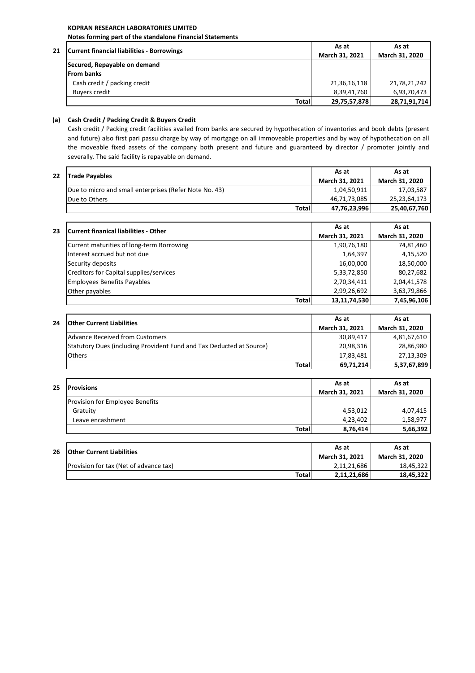| 21 | <b>Current financial liabilities - Borrowings</b> | As at          | As at          |
|----|---------------------------------------------------|----------------|----------------|
|    |                                                   | March 31, 2021 | March 31, 2020 |
|    | Secured, Repayable on demand                      |                |                |
|    | <b>From banks</b>                                 |                |                |
|    | Cash credit / packing credit                      | 21,36,16,118   | 21,78,21,242   |
|    | Buvers credit                                     | 8,39,41,760    | 6,93,70,473    |
|    | Total                                             | 29,75,57,878   | 28,71,91,714   |

#### **(a) Cash Credit / Packing Credit & Buyers Credit**

Cash credit / Packing credit facilities availed from banks are secured by hypothecation of inventories and book debts (present and future) also first pari passu charge by way of mortgage on all immoveable properties and by way of hypothecation on all the moveable fixed assets of the company both present and future and guaranteed by director / promoter jointly and severally. The said facility is repayable on demand.

| 22 - | <b>Trade Payables</b>                                  | As at<br><b>March 31, 2021</b> | As at<br><b>March 31, 2020</b> |
|------|--------------------------------------------------------|--------------------------------|--------------------------------|
|      | Due to micro and small enterprises (Refer Note No. 43) | 1,04,50,911                    | 17,03,587                      |
|      | Due to Others                                          | 46,71,73,085                   | 25,23,64,173                   |
|      | Total                                                  | 47,76,23,996                   | 25,40,67,760                   |

| 23 |                                           | As at          | As at          |
|----|-------------------------------------------|----------------|----------------|
|    | Current finanical liabilities - Other     | March 31, 2021 | March 31, 2020 |
|    | Current maturities of long-term Borrowing | 1,90,76,180    | 74,81,460      |
|    | Interest accrued but not due              | 1,64,397       | 4,15,520       |
|    | Security deposits                         | 16,00,000      | 18,50,000      |
|    | Creditors for Capital supplies/services   | 5,33,72,850    | 80,27,682      |
|    | <b>Employees Benefits Payables</b>        | 2,70,34,411    | 2,04,41,578    |
|    | Other payables                            | 2,99,26,692    | 3,63,79,866    |
|    | <b>Total</b>                              | 13,11,74,530   | 7,45,96,106    |

| 24 | <b>Other Current Liabilities</b>                                     | As at          | As at                 |
|----|----------------------------------------------------------------------|----------------|-----------------------|
|    |                                                                      | March 31, 2021 | <b>March 31, 2020</b> |
|    | Advance Received from Customers                                      | 30,89,417      | 4,81,67,610           |
|    | Statutory Dues (including Provident Fund and Tax Deducted at Source) | 20,98,316      | 28,86,980             |
|    | <b>Others</b>                                                        | 17,83,481      | 27,13,309             |
|    | Total                                                                | 69,71,214      | 5,37,67,899           |

| 25 | <b>Provisions</b>                      | As at<br>March 31, 2021 | As at<br>March 31, 2020 |
|----|----------------------------------------|-------------------------|-------------------------|
|    | <b>Provision for Employee Benefits</b> |                         |                         |
|    | Gratuity                               | 4,53,012                | 4,07,415                |
|    | Leave encashment                       | 4,23,402                | 1,58,977                |
|    | <b>Total</b>                           | 8,76,414                | 5,66,392                |

| 26 | <b>Other Current Liabilities</b>       | As at<br><b>March 31, 2021</b> | As at<br><b>March 31, 2020</b> |
|----|----------------------------------------|--------------------------------|--------------------------------|
|    | Provision for tax (Net of advance tax) | 2,11,21,686                    | 18,45,322                      |
|    | <b>Total</b>                           | 2,11,21,686                    | 18,45,322                      |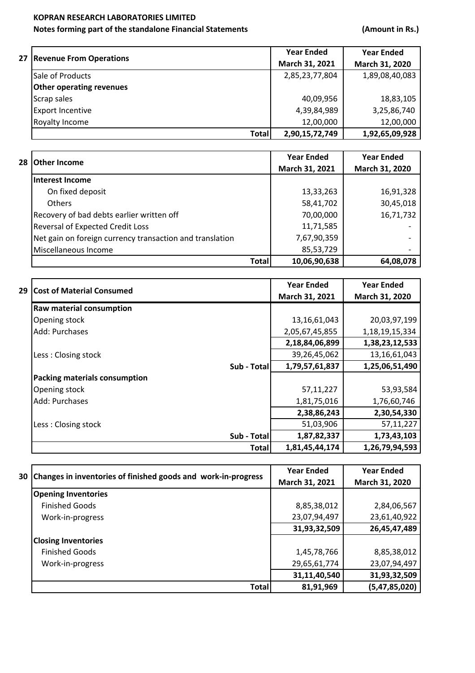|  | 27 Revenue From Operations      | <b>Year Ended</b> | <b>Year Ended</b> |                |
|--|---------------------------------|-------------------|-------------------|----------------|
|  |                                 | March 31, 2021    | March 31, 2020    |                |
|  | Sale of Products                |                   | 2,85,23,77,804    | 1,89,08,40,083 |
|  | <b>Other operating revenues</b> |                   |                   |                |
|  | Scrap sales                     |                   | 40,09,956         | 18,83,105      |
|  | <b>Export Incentive</b>         |                   | 4,39,84,989       | 3,25,86,740    |
|  | Royalty Income                  |                   | 12,00,000         | 12,00,000      |
|  |                                 | <b>Total</b>      | 2,90,15,72,749    | 1,92,65,09,928 |

|                                                          |       | <b>Year Ended</b> | <b>Year Ended</b> |
|----------------------------------------------------------|-------|-------------------|-------------------|
| 28 Other Income                                          |       | March 31, 2021    | March 31, 2020    |
| <b>Interest Income</b>                                   |       |                   |                   |
| On fixed deposit                                         |       | 13,33,263         | 16,91,328         |
| <b>Others</b>                                            |       | 58,41,702         | 30,45,018         |
| Recovery of bad debts earlier written off                |       | 70,00,000         | 16,71,732         |
| <b>Reversal of Expected Credit Loss</b>                  |       | 11,71,585         |                   |
| Net gain on foreign currency transaction and translation |       | 7,67,90,359       |                   |
| Miscellaneous Income                                     |       | 85,53,729         |                   |
|                                                          | Total | 10,06,90,638      | 64,08,078         |

| 29   Cost of Material Consumed       |  | <b>Year Ended</b> | <b>Year Ended</b>  |
|--------------------------------------|--|-------------------|--------------------|
|                                      |  | March 31, 2021    | March 31, 2020     |
| Raw material consumption             |  |                   |                    |
| Opening stock                        |  | 13,16,61,043      | 20,03,97,199       |
| Add: Purchases                       |  | 2,05,67,45,855    | 1, 18, 19, 15, 334 |
|                                      |  | 2,18,84,06,899    | 1,38,23,12,533     |
| Less: Closing stock                  |  | 39,26,45,062      | 13,16,61,043       |
| Sub - Total                          |  | 1,79,57,61,837    | 1,25,06,51,490     |
| <b>Packing materials consumption</b> |  |                   |                    |
| Opening stock                        |  | 57,11,227         | 53,93,584          |
| Add: Purchases                       |  | 1,81,75,016       | 1,76,60,746        |
|                                      |  | 2,38,86,243       | 2,30,54,330        |
| Less: Closing stock                  |  | 51,03,906         | 57,11,227          |
| Sub - Total                          |  | 1,87,82,337       | 1,73,43,103        |
| <b>Total</b>                         |  | 1,81,45,44,174    | 1,26,79,94,593     |

|    | Changes in inventories of finished goods and work-in-progress | <b>Year Ended</b> | <b>Year Ended</b> |
|----|---------------------------------------------------------------|-------------------|-------------------|
| 30 |                                                               | March 31, 2021    | March 31, 2020    |
|    | <b>Opening Inventories</b>                                    |                   |                   |
|    | <b>Finished Goods</b>                                         | 8,85,38,012       | 2,84,06,567       |
|    | Work-in-progress                                              | 23,07,94,497      | 23,61,40,922      |
|    |                                                               | 31,93,32,509      | 26,45,47,489      |
|    | <b>Closing Inventories</b>                                    |                   |                   |
|    | <b>Finished Goods</b>                                         | 1,45,78,766       | 8,85,38,012       |
|    | Work-in-progress                                              | 29,65,61,774      | 23,07,94,497      |
|    |                                                               | 31,11,40,540      | 31,93,32,509      |
|    | <b>Total</b>                                                  | 81,91,969         | (5,47,85,020)     |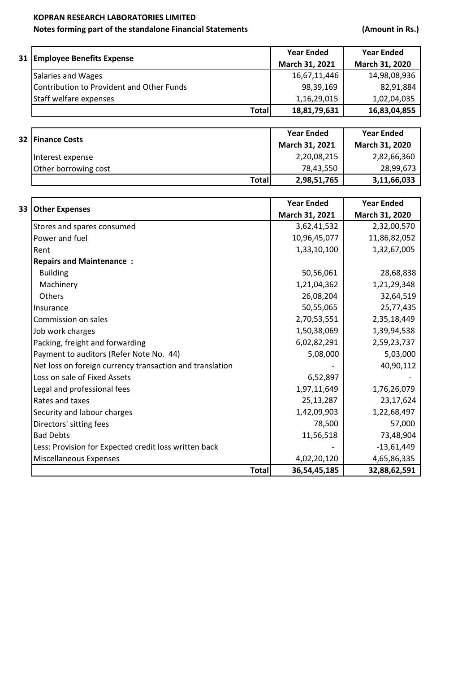|  |                                           | <b>Year Ended</b> | <b>Year Ended</b> |
|--|-------------------------------------------|-------------------|-------------------|
|  | 31 Employee Benefits Expense              | March 31, 2021    | March 31, 2020    |
|  | Salaries and Wages                        | 16,67,11,446      | 14,98,08,936      |
|  | Contribution to Provident and Other Funds | 98,39,169         | 82,91,884         |
|  | Staff welfare expenses                    | 1,16,29,015       | 1,02,04,035       |
|  | <b>Total</b>                              | 18,81,79,631      | 16,83,04,855      |

| 32   Finance Costs   | <b>Year Ended</b><br>March 31, 2021 | <b>Year Ended</b><br>March 31, 2020 |
|----------------------|-------------------------------------|-------------------------------------|
| Interest expense     | 2,20,08,215                         | 2,82,66,360                         |
| Other borrowing cost | 78,43,550                           | 28,99,673                           |
| Totall               | 2,98,51,765                         | 3,11,66,033                         |

| 33                                                       | <b>Year Ended</b> | <b>Year Ended</b> |
|----------------------------------------------------------|-------------------|-------------------|
| <b>Other Expenses</b>                                    | March 31, 2021    | March 31, 2020    |
| Stores and spares consumed                               | 3,62,41,532       | 2,32,00,570       |
| Power and fuel                                           | 10,96,45,077      | 11,86,82,052      |
| Rent                                                     | 1,33,10,100       | 1,32,67,005       |
| <b>Repairs and Maintenance:</b>                          |                   |                   |
| <b>Building</b>                                          | 50,56,061         | 28,68,838         |
| Machinery                                                | 1,21,04,362       | 1,21,29,348       |
| <b>Others</b>                                            | 26,08,204         | 32,64,519         |
| Insurance                                                | 50,55,065         | 25,77,435         |
| Commission on sales                                      | 2,70,53,551       | 2,35,18,449       |
| Job work charges                                         | 1,50,38,069       | 1,39,94,538       |
| Packing, freight and forwarding                          | 6,02,82,291       | 2,59,23,737       |
| Payment to auditors (Refer Note No. 44)                  | 5,08,000          | 5,03,000          |
| Net loss on foreign currency transaction and translation |                   | 40,90,112         |
| Loss on sale of Fixed Assets                             | 6,52,897          |                   |
| Legal and professional fees                              | 1,97,11,649       | 1,76,26,079       |
| Rates and taxes                                          | 25,13,287         | 23,17,624         |
| Security and labour charges                              | 1,42,09,903       | 1,22,68,497       |
| Directors' sitting fees                                  | 78,500            | 57,000            |
| <b>Bad Debts</b>                                         | 11,56,518         | 73,48,904         |
| Less: Provision for Expected credit loss written back    |                   | $-13,61,449$      |
| Miscellaneous Expenses                                   | 4,02,20,120       | 4,65,86,335       |
| <b>Total</b>                                             | 36,54,45,185      | 32,88,62,591      |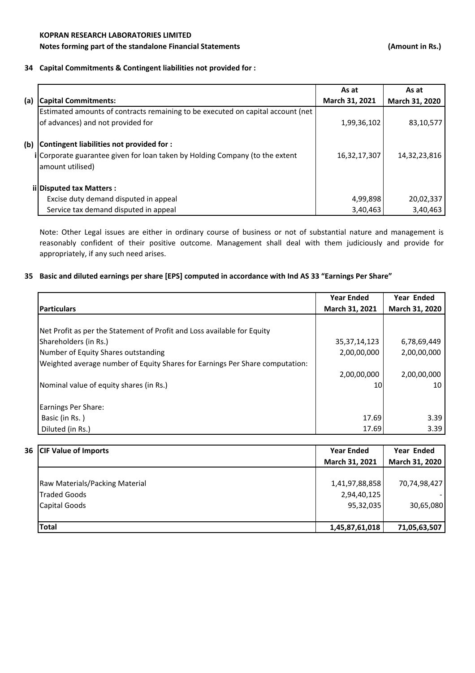#### **34 Capital Commitments & Contingent liabilities not provided for :**

|     |                                                                                                  | As at          | As at          |
|-----|--------------------------------------------------------------------------------------------------|----------------|----------------|
| (a) | <b>Capital Commitments:</b>                                                                      | March 31, 2021 | March 31, 2020 |
|     | Estimated amounts of contracts remaining to be executed on capital account (net                  |                |                |
|     | of advances) and not provided for                                                                | 1,99,36,102    | 83,10,577      |
| (b) | Contingent liabilities not provided for :                                                        |                |                |
|     | i Corporate guarantee given for loan taken by Holding Company (to the extent<br>amount utilised) | 16,32,17,307   | 14,32,23,816   |
|     | ii Disputed tax Matters :                                                                        |                |                |
|     | Excise duty demand disputed in appeal                                                            | 4,99,898       | 20,02,337      |
|     | Service tax demand disputed in appeal                                                            | 3,40,463       | 3,40,463       |

Note: Other Legal issues are either in ordinary course of business or not of substantial nature and management is reasonably confident of their positive outcome. Management shall deal with them judiciously and provide for appropriately, if any such need arises.

### **35 Basic and diluted earnings per share [EPS] computed in accordance with Ind AS 33 "Earnings Per Share"**

|                                                                              | <b>Year Ended</b> | <b>Year Ended</b> |
|------------------------------------------------------------------------------|-------------------|-------------------|
| <b>Particulars</b>                                                           | March 31, 2021    | March 31, 2020    |
|                                                                              |                   |                   |
| Net Profit as per the Statement of Profit and Loss available for Equity      |                   |                   |
| Shareholders (in Rs.)                                                        | 35, 37, 14, 123   | 6,78,69,449       |
| Number of Equity Shares outstanding                                          | 2,00,00,000       | 2,00,00,000       |
| Weighted average number of Equity Shares for Earnings Per Share computation: |                   |                   |
|                                                                              | 2,00,00,000       | 2,00,00,000       |
| Nominal value of equity shares (in Rs.)                                      | 10                | 10                |
|                                                                              |                   |                   |
| Earnings Per Share:                                                          |                   |                   |
| Basic (in Rs.)                                                               | 17.69             | 3.39              |
| Diluted (in Rs.)                                                             | 17.69             | 3.39              |

| 36 CIF Value of Imports        | <b>Year Ended</b> | Year Ended     |
|--------------------------------|-------------------|----------------|
|                                | March 31, 2021    | March 31, 2020 |
| Raw Materials/Packing Material | 1,41,97,88,858    | 70,74,98,427   |
| <b>Traded Goods</b>            | 2,94,40,125       |                |
| Capital Goods                  | 95,32,035         | 30,65,080      |
|                                |                   |                |
| <b>Total</b>                   | 1,45,87,61,018    | 71,05,63,507   |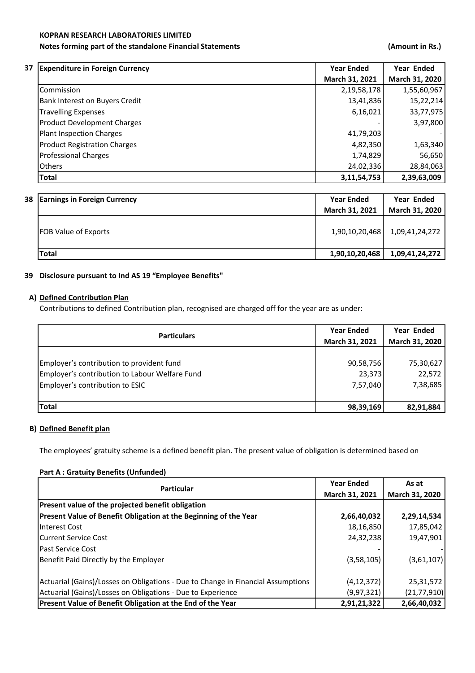## **KOPRAN RESEARCH LABORATORIES LIMITED Notes forming part of the standalone Financial Statements <b>and Computer Computer (Amount in Rs.)** (Amount in Rs.)

**37 Expenditure in Foreign Currency Year Ended March 31, 2021 Year Ended March 31, 2020** Commission 2,19,58,178 1,55,60,967 Bank Interest on Buyers Credit 15,22,214 13,41,836 15,22,214 Travelling Expenses 6,16,021 33,77,975 Product Development Charges - 3,97,800 and 2,97,800 and 3,97,800 and 3,97,800 and 3,97,800 and 3,97,800 and 3,97,800 and 3,97,800 and 3,97,800 and 3,97,800 and 3,97,800 and 3,97,800 and 3,97,800 and 3,97,800 and 3,97,800 a Plant Inspection Charges **41,79,203** - All contracts and the 41,79,203 - 41,79,203 Product Registration Charges 1,63,340 Professional Charges **1,74,829** 56,650 Others 24,02,336 28,84,063 **Total 3,11,54,753 2,39,63,009** 

| 38 Earnings in Foreign Currency | <b>Year Ended</b> | Year Ended     |
|---------------------------------|-------------------|----------------|
|                                 | March 31, 2021    | March 31, 2020 |
| <b>FOB Value of Exports</b>     | 1,90,10,20,468    | 1,09,41,24,272 |
| <b>Total</b>                    | 1,90,10,20,468    | 1,09,41,24,272 |

#### **39 Disclosure pursuant to Ind AS 19 "Employee Benefits"**

#### **A) Defined Contribution Plan**

Contributions to defined Contribution plan, recognised are charged off for the year are as under:

| <b>Particulars</b>                             | <b>Year Ended</b> | <b>Year Ended</b> |
|------------------------------------------------|-------------------|-------------------|
|                                                | March 31, 2021    | March 31, 2020    |
|                                                |                   |                   |
| Employer's contribution to provident fund      | 90,58,756         | 75,30,627         |
| Employer's contribution to Labour Welfare Fund | 23,373            | 22,572            |
| Employer's contribution to ESIC                | 7,57,040          | 7,38,685          |
|                                                |                   |                   |
| Total                                          | 98,39,169         | 82,91,884         |

#### **B) Defined Benefit plan**

The employees' gratuity scheme is a defined benefit plan. The present value of obligation is determined based on

#### **Part A : Gratuity Benefits (Unfunded)**

| <b>Particular</b>                                                                | <b>Year Ended</b> | As at          |
|----------------------------------------------------------------------------------|-------------------|----------------|
|                                                                                  | March 31, 2021    | March 31, 2020 |
| Present value of the projected benefit obligation                                |                   |                |
| Present Value of Benefit Obligation at the Beginning of the Year                 | 2,66,40,032       | 2,29,14,534    |
| Interest Cost                                                                    | 18,16,850         | 17,85,042      |
| Current Service Cost                                                             | 24,32,238         | 19,47,901      |
| <b>Past Service Cost</b>                                                         |                   |                |
| Benefit Paid Directly by the Employer                                            | (3,58,105)        | (3,61,107)     |
| Actuarial (Gains)/Losses on Obligations - Due to Change in Financial Assumptions | (4, 12, 372)      | 25,31,572      |
| Actuarial (Gains)/Losses on Obligations - Due to Experience                      | (9, 97, 321)      | (21, 77, 910)  |
| Present Value of Benefit Obligation at the End of the Year                       | 2,91,21,322       | 2,66,40,032    |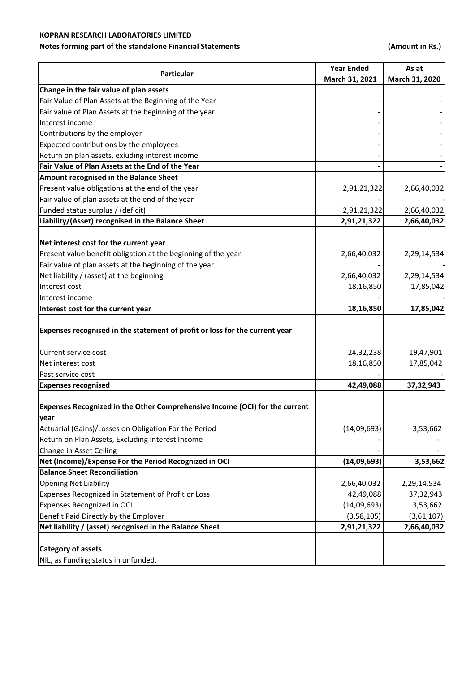## **Notes forming part of the standalone Financial Statements (Amount in Rs.) (Amount in Rs.)**

|                                                                                            | <b>Year Ended</b> | As at          |
|--------------------------------------------------------------------------------------------|-------------------|----------------|
| <b>Particular</b>                                                                          | March 31, 2021    | March 31, 2020 |
| Change in the fair value of plan assets                                                    |                   |                |
| Fair Value of Plan Assets at the Beginning of the Year                                     |                   |                |
| Fair value of Plan Assets at the beginning of the year                                     |                   |                |
| Interest income                                                                            |                   |                |
| Contributions by the employer                                                              |                   |                |
| Expected contributions by the employees                                                    |                   |                |
| Return on plan assets, exluding interest income                                            |                   |                |
| Fair Value of Plan Assets at the End of the Year                                           |                   |                |
| Amount recognised in the Balance Sheet                                                     |                   |                |
| Present value obligations at the end of the year                                           | 2,91,21,322       | 2,66,40,032    |
| Fair value of plan assets at the end of the year                                           |                   |                |
| Funded status surplus / (deficit)                                                          | 2,91,21,322       | 2,66,40,032    |
| Liability/(Asset) recognised in the Balance Sheet                                          | 2,91,21,322       | 2,66,40,032    |
|                                                                                            |                   |                |
| Net interest cost for the current year                                                     |                   |                |
| Present value benefit obligation at the beginning of the year                              | 2,66,40,032       | 2,29,14,534    |
| Fair value of plan assets at the beginning of the year                                     |                   |                |
| Net liability / (asset) at the beginning                                                   | 2,66,40,032       | 2,29,14,534    |
| Interest cost                                                                              | 18,16,850         | 17,85,042      |
| Interest income                                                                            |                   |                |
| Interest cost for the current year                                                         | 18,16,850         | 17,85,042      |
| Expenses recognised in the statement of profit or loss for the current year                |                   |                |
| Current service cost                                                                       | 24,32,238         | 19,47,901      |
| Net interest cost                                                                          | 18,16,850         | 17,85,042      |
| Past service cost                                                                          |                   |                |
| <b>Expenses recognised</b>                                                                 | 42,49,088         | 37,32,943      |
| Expenses Recognized in the Other Comprehensive Income (OCI) for the current<br><b>vear</b> |                   |                |
| Actuarial (Gains)/Losses on Obligation For the Period                                      | (14,09,693)       | 3,53,662       |
| Return on Plan Assets, Excluding Interest Income                                           |                   |                |
| Change in Asset Ceiling                                                                    |                   |                |
| Net (Income)/Expense For the Period Recognized in OCI                                      | (14,09,693)       | 3,53,662       |
| <b>Balance Sheet Reconciliation</b>                                                        |                   |                |
| <b>Opening Net Liability</b>                                                               | 2,66,40,032       | 2,29,14,534    |
| Expenses Recognized in Statement of Profit or Loss                                         | 42,49,088         | 37,32,943      |
| Expenses Recognized in OCI                                                                 | (14,09,693)       | 3,53,662       |
| Benefit Paid Directly by the Employer                                                      | (3,58,105)        | (3,61,107)     |
| Net liability / (asset) recognised in the Balance Sheet                                    | 2,91,21,322       | 2,66,40,032    |
| <b>Category of assets</b><br>NIL, as Funding status in unfunded.                           |                   |                |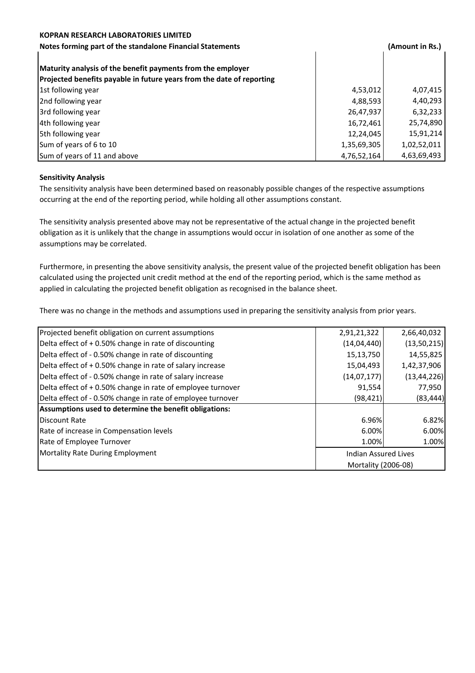| Notes forming part of the standalone Financial Statements                                                                            |             | (Amount in Rs.) |
|--------------------------------------------------------------------------------------------------------------------------------------|-------------|-----------------|
| Maturity analysis of the benefit payments from the employer<br>Projected benefits payable in future years from the date of reporting |             |                 |
| 1st following year                                                                                                                   | 4,53,012    | 4,07,415        |
| 2nd following year                                                                                                                   | 4,88,593    | 4,40,293        |
| 3rd following year                                                                                                                   | 26,47,937   | 6,32,233        |
| 4th following year                                                                                                                   | 16,72,461   | 25,74,890       |
| <b>5th following year</b>                                                                                                            | 12,24,045   | 15,91,214       |
| Sum of years of 6 to 10                                                                                                              | 1,35,69,305 | 1,02,52,011     |
| Sum of years of 11 and above                                                                                                         | 4,76,52,164 | 4,63,69,493     |

#### **Sensitivity Analysis**

The sensitivity analysis have been determined based on reasonably possible changes of the respective assumptions occurring at the end of the reporting period, while holding all other assumptions constant.

The sensitivity analysis presented above may not be representative of the actual change in the projected benefit obligation as it is unlikely that the change in assumptions would occur in isolation of one another as some of the assumptions may be correlated.

Furthermore, in presenting the above sensitivity analysis, the present value of the projected benefit obligation has been calculated using the projected unit credit method at the end of the reporting period, which is the same method as applied in calculating the projected benefit obligation as recognised in the balance sheet.

There was no change in the methods and assumptions used in preparing the sensitivity analysis from prior years.

|                                                             | Mortality (2006-08)         |               |
|-------------------------------------------------------------|-----------------------------|---------------|
| Mortality Rate During Employment                            | <b>Indian Assured Lives</b> |               |
| Rate of Employee Turnover                                   | 1.00%                       | 1.00%         |
| Rate of increase in Compensation levels                     | 6.00%                       | 6.00%         |
| Discount Rate                                               | 6.96%                       | 6.82%         |
| Assumptions used to determine the benefit obligations:      |                             |               |
| Delta effect of - 0.50% change in rate of employee turnover | (98, 421)                   | (83, 444)     |
| Delta effect of +0.50% change in rate of employee turnover  | 91,554                      | 77,950        |
| Delta effect of - 0.50% change in rate of salary increase   | (14,07,177)                 | (13, 44, 226) |
| Delta effect of +0.50% change in rate of salary increase    | 15,04,493                   | 1,42,37,906   |
| Delta effect of - 0.50% change in rate of discounting       | 15,13,750                   | 14,55,825     |
| Delta effect of +0.50% change in rate of discounting        | (14,04,440)                 | (13, 50, 215) |
| Projected benefit obligation on current assumptions         | 2,91,21,322                 | 2,66,40,032   |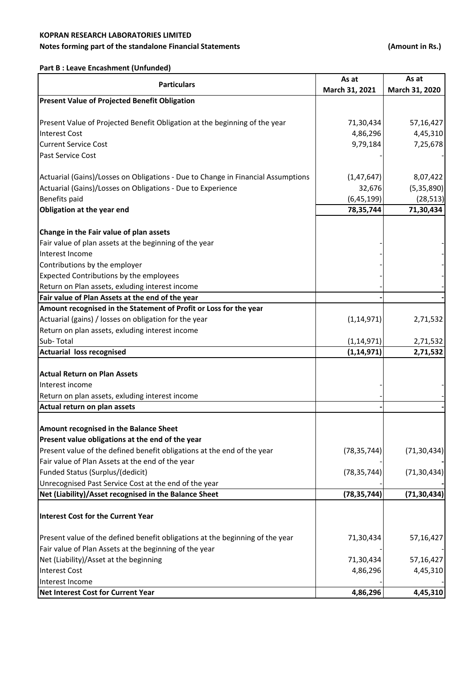**Part B : Leave Encashment (Unfunded)**

| <b>Particulars</b>                                                               | As at          | As at          |
|----------------------------------------------------------------------------------|----------------|----------------|
|                                                                                  | March 31, 2021 | March 31, 2020 |
| <b>Present Value of Projected Benefit Obligation</b>                             |                |                |
|                                                                                  |                |                |
| Present Value of Projected Benefit Obligation at the beginning of the year       | 71,30,434      | 57,16,427      |
| <b>Interest Cost</b>                                                             | 4,86,296       | 4,45,310       |
| <b>Current Service Cost</b>                                                      | 9,79,184       | 7,25,678       |
| Past Service Cost                                                                |                |                |
|                                                                                  |                |                |
| Actuarial (Gains)/Losses on Obligations - Due to Change in Financial Assumptions | (1, 47, 647)   | 8,07,422       |
| Actuarial (Gains)/Losses on Obligations - Due to Experience                      | 32,676         | (5, 35, 890)   |
| <b>Benefits paid</b>                                                             | (6, 45, 199)   | (28, 513)      |
| Obligation at the year end                                                       | 78,35,744      | 71,30,434      |
| Change in the Fair value of plan assets                                          |                |                |
| Fair value of plan assets at the beginning of the year                           |                |                |
| Interest Income                                                                  |                |                |
|                                                                                  |                |                |
| Contributions by the employer                                                    |                |                |
| <b>Expected Contributions by the employees</b>                                   |                |                |
| Return on Plan assets, exluding interest income                                  |                |                |
| Fair value of Plan Assets at the end of the year                                 |                |                |
| Amount recognised in the Statement of Profit or Loss for the year                |                |                |
| Actuarial (gains) / losses on obligation for the year                            | (1, 14, 971)   | 2,71,532       |
| Return on plan assets, exluding interest income                                  |                |                |
| Sub-Total                                                                        | (1, 14, 971)   | 2,71,532       |
| <b>Actuarial loss recognised</b>                                                 | (1, 14, 971)   | 2,71,532       |
| <b>Actual Return on Plan Assets</b>                                              |                |                |
| Interest income                                                                  |                |                |
| Return on plan assets, exluding interest income                                  |                |                |
| Actual return on plan assets                                                     |                |                |
|                                                                                  |                |                |
| <b>Amount recognised in the Balance Sheet</b>                                    |                |                |
| Present value obligations at the end of the year                                 |                |                |
| Present value of the defined benefit obligations at the end of the year          | (78, 35, 744)  | (71, 30, 434)  |
| Fair value of Plan Assets at the end of the year                                 |                |                |
| Funded Status (Surplus/(dedicit)                                                 | (78, 35, 744)  | (71, 30, 434)  |
| Unrecognised Past Service Cost at the end of the year                            |                |                |
| Net (Liability)/Asset recognised in the Balance Sheet                            | (78, 35, 744)  | (71, 30, 434)  |
|                                                                                  |                |                |
| Interest Cost for the Current Year                                               |                |                |
| Present value of the defined benefit obligations at the beginning of the year    | 71,30,434      | 57,16,427      |
| Fair value of Plan Assets at the beginning of the year                           |                |                |
| Net (Liability)/Asset at the beginning                                           | 71,30,434      | 57,16,427      |
| <b>Interest Cost</b>                                                             | 4,86,296       | 4,45,310       |
| Interest Income                                                                  |                |                |
| <b>Net Interest Cost for Current Year</b>                                        | 4,86,296       | 4,45,310       |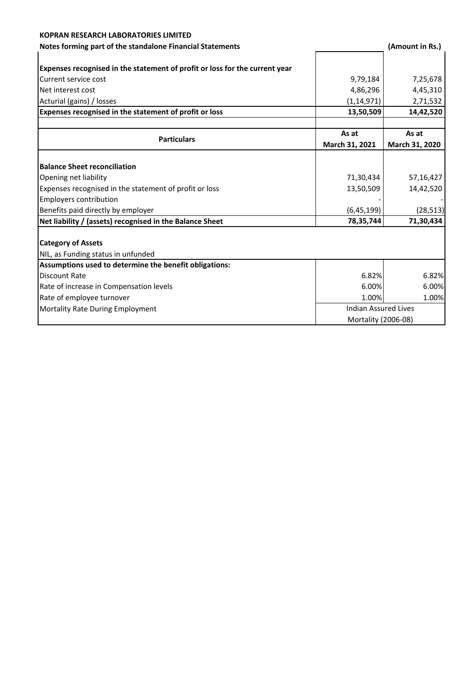| <b>KOPRAN RESEARCH LABORATORIES LIMITED</b>                                 |                             |                 |
|-----------------------------------------------------------------------------|-----------------------------|-----------------|
| Notes forming part of the standalone Financial Statements                   |                             | (Amount in Rs.) |
| Expenses recognised in the statement of profit or loss for the current year |                             |                 |
| Current service cost                                                        | 9,79,184                    | 7,25,678        |
| Net interest cost                                                           | 4,86,296                    | 4,45,310        |
| Acturial (gains) / losses                                                   | (1, 14, 971)                | 2,71,532        |
| Expenses recognised in the statement of profit or loss                      | 13,50,509                   | 14,42,520       |
|                                                                             |                             |                 |
| <b>Particulars</b>                                                          | As at                       | As at           |
|                                                                             | March 31, 2021              | March 31, 2020  |
| <b>Balance Sheet reconciliation</b>                                         |                             |                 |
| Opening net liability                                                       | 71,30,434                   | 57,16,427       |
| Expenses recognised in the statement of profit or loss                      | 13,50,509                   | 14,42,520       |
| <b>Employers contribution</b>                                               |                             |                 |
| Benefits paid directly by employer                                          | (6, 45, 199)                | (28, 513)       |
| Net liability / (assets) recognised in the Balance Sheet                    | 78,35,744                   | 71,30,434       |
| <b>Category of Assets</b><br>NIL, as Funding status in unfunded             |                             |                 |
| Assumptions used to determine the benefit obligations:                      |                             |                 |
| <b>Discount Rate</b>                                                        | 6.82%                       | 6.82%           |
| Rate of increase in Compensation levels                                     | 6.00%                       | 6.00%           |
| Rate of employee turnover                                                   | 1.00%                       | 1.00%           |
| Mortality Rate During Employment                                            | <b>Indian Assured Lives</b> |                 |
|                                                                             | Mortality (2006-08)         |                 |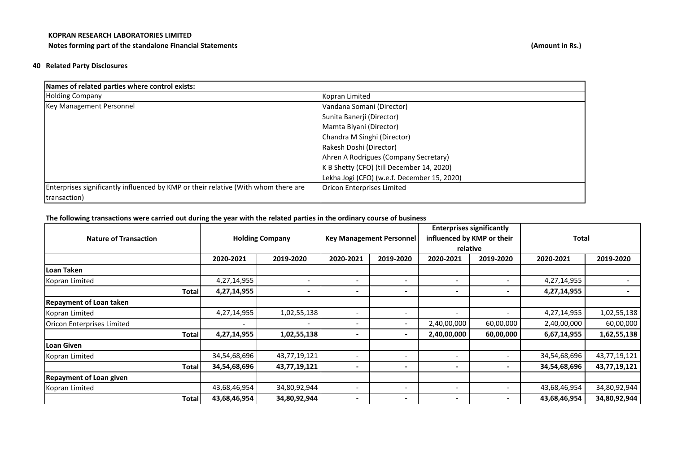## **40 Related Party Disclosures**

| Names of related parties where control exists:                                     |                                             |
|------------------------------------------------------------------------------------|---------------------------------------------|
| <b>Holding Company</b>                                                             | Kopran Limited                              |
| Key Management Personnel                                                           | Vandana Somani (Director)                   |
|                                                                                    | Sunita Banerji (Director)                   |
|                                                                                    | Mamta Biyani (Director)                     |
|                                                                                    | Chandra M Singhi (Director)                 |
|                                                                                    | Rakesh Doshi (Director)                     |
|                                                                                    | Ahren A Rodrigues (Company Secretary)       |
|                                                                                    | K B Shetty (CFO) (till December 14, 2020)   |
|                                                                                    | Lekha Jogi (CFO) (w.e.f. December 15, 2020) |
| Enterprises significantly influenced by KMP or their relative (With whom there are | <b>Oricon Enterprises Limited</b>           |
| transaction)                                                                       |                                             |

#### **The following transactions were carried out during the year with the related parties in the ordinary course of business:**

|                                   |              |                        |                          |                                 | <b>Enterprises significantly</b> |                            |              |              |  |
|-----------------------------------|--------------|------------------------|--------------------------|---------------------------------|----------------------------------|----------------------------|--------------|--------------|--|
| <b>Nature of Transaction</b>      |              | <b>Holding Company</b> |                          | <b>Key Management Personnel</b> |                                  | influenced by KMP or their |              | <b>Total</b> |  |
|                                   |              |                        |                          |                                 | relative                         |                            |              |              |  |
|                                   | 2020-2021    | 2019-2020              | 2020-2021                | 2019-2020                       | 2020-2021                        | 2019-2020                  | 2020-2021    | 2019-2020    |  |
| Loan Taken                        |              |                        |                          |                                 |                                  |                            |              |              |  |
| Kopran Limited                    | 4,27,14,955  |                        | $\overline{\phantom{0}}$ | $\overline{\phantom{a}}$        |                                  | $\overline{\phantom{0}}$   | 4,27,14,955  |              |  |
| <b>Total</b>                      | 4,27,14,955  | $\blacksquare$         | $\blacksquare$           | $\blacksquare$                  |                                  | $\blacksquare$             | 4,27,14,955  |              |  |
| <b>Repayment of Loan taken</b>    |              |                        |                          |                                 |                                  |                            |              |              |  |
| Kopran Limited                    | 4,27,14,955  | 1,02,55,138            | $\overline{\phantom{0}}$ | $\overline{\phantom{a}}$        |                                  | $\overline{\phantom{0}}$   | 4,27,14,955  | 1,02,55,138  |  |
| <b>Oricon Enterprises Limited</b> |              |                        | $\overline{\phantom{0}}$ | $\overline{\phantom{a}}$        | 2,40,00,000                      | 60,00,000                  | 2,40,00,000  | 60,00,000    |  |
| Total                             | 4,27,14,955  | 1,02,55,138            | $\blacksquare$           | $\overline{\phantom{a}}$        | 2,40,00,000                      | 60,00,000                  | 6,67,14,955  | 1,62,55,138  |  |
| Loan Given                        |              |                        |                          |                                 |                                  |                            |              |              |  |
| Kopran Limited                    | 34,54,68,696 | 43,77,19,121           | $\overline{\phantom{0}}$ | $\overline{\phantom{0}}$        |                                  | $\overline{\phantom{0}}$   | 34,54,68,696 | 43,77,19,121 |  |
| Total                             | 34,54,68,696 | 43,77,19,121           | $\blacksquare$           | $\overline{\phantom{a}}$        |                                  | $\overline{\phantom{0}}$   | 34,54,68,696 | 43,77,19,121 |  |
| <b>Repayment of Loan given</b>    |              |                        |                          |                                 |                                  |                            |              |              |  |
| Kopran Limited                    | 43,68,46,954 | 34,80,92,944           | $\overline{\phantom{a}}$ | $\overline{\phantom{a}}$        | ٠                                | $\overline{\phantom{a}}$   | 43,68,46,954 | 34,80,92,944 |  |
| <b>Total</b>                      | 43,68,46,954 | 34,80,92,944           | $\blacksquare$           | $\,$                            |                                  |                            | 43,68,46,954 | 34,80,92,944 |  |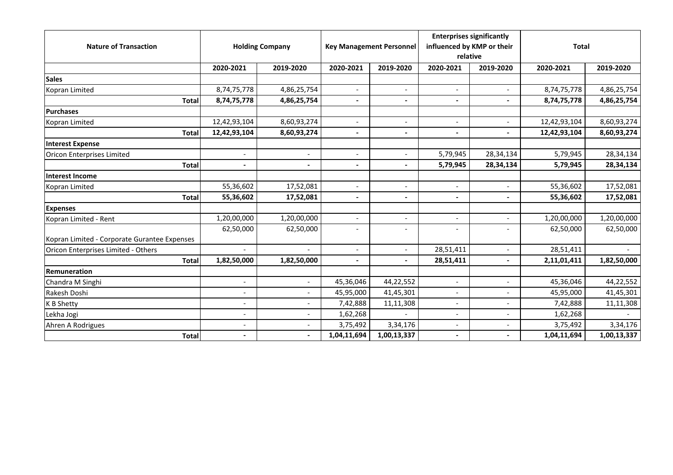| <b>Nature of Transaction</b>                 |                          | <b>Holding Company</b>   | <b>Key Management Personnel</b> |                          | influenced by KMP or their<br>relative |                              | <b>Enterprises significantly</b><br><b>Total</b> |             |  |
|----------------------------------------------|--------------------------|--------------------------|---------------------------------|--------------------------|----------------------------------------|------------------------------|--------------------------------------------------|-------------|--|
|                                              | 2020-2021                | 2019-2020                | 2020-2021                       | 2019-2020                | 2020-2021                              | 2019-2020                    | 2020-2021                                        | 2019-2020   |  |
| <b>Sales</b>                                 |                          |                          |                                 |                          |                                        |                              |                                                  |             |  |
| Kopran Limited                               | 8,74,75,778              | 4,86,25,754              | $\overline{\phantom{a}}$        | $\overline{\phantom{a}}$ | $\blacksquare$                         | $\overline{\phantom{0}}$     | 8,74,75,778                                      | 4,86,25,754 |  |
| <b>Total</b>                                 | 8,74,75,778              | 4,86,25,754              |                                 |                          |                                        |                              | 8,74,75,778                                      | 4,86,25,754 |  |
| <b>Purchases</b>                             |                          |                          |                                 |                          |                                        |                              |                                                  |             |  |
| Kopran Limited                               | 12,42,93,104             | 8,60,93,274              | $\overline{\phantom{a}}$        | $\overline{\phantom{a}}$ | $\overline{\phantom{a}}$               | $\overline{\phantom{a}}$     | 12,42,93,104                                     | 8,60,93,274 |  |
| <b>Total</b>                                 | 12,42,93,104             | 8,60,93,274              | $\overline{\phantom{a}}$        | $\overline{\phantom{a}}$ | $\overline{\phantom{a}}$               | $\overline{\phantom{0}}$     | 12,42,93,104                                     | 8,60,93,274 |  |
| <b>Interest Expense</b>                      |                          |                          |                                 |                          |                                        |                              |                                                  |             |  |
| Oricon Enterprises Limited                   | $\overline{a}$           | $\blacksquare$           | $\overline{\phantom{a}}$        | $\overline{a}$           | 5,79,945                               | 28,34,134                    | 5,79,945                                         | 28,34,134   |  |
| <b>Total</b>                                 | $\blacksquare$           | $\blacksquare$           | $\blacksquare$                  | $\overline{a}$           | 5,79,945                               | 28,34,134                    | 5,79,945                                         | 28,34,134   |  |
| Interest Income                              |                          |                          |                                 |                          |                                        |                              |                                                  |             |  |
| Kopran Limited                               | 55,36,602                | 17,52,081                | $\overline{\phantom{a}}$        | $\overline{\phantom{a}}$ |                                        | $\blacksquare$               | 55,36,602                                        | 17,52,081   |  |
| <b>Total</b>                                 | 55,36,602                | 17,52,081                | $\overline{\phantom{a}}$        | $\overline{\phantom{a}}$ |                                        |                              | 55,36,602                                        | 17,52,081   |  |
| <b>Expenses</b>                              |                          |                          |                                 |                          |                                        |                              |                                                  |             |  |
| Kopran Limited - Rent                        | 1,20,00,000              | 1,20,00,000              | $\overline{\phantom{a}}$        | $\overline{\phantom{a}}$ | $\overline{\phantom{0}}$               | $\qquad \qquad \blacksquare$ | 1,20,00,000                                      | 1,20,00,000 |  |
|                                              | 62,50,000                | 62,50,000                | $\overline{\phantom{a}}$        | $\overline{a}$           | $\overline{\phantom{a}}$               | $\overline{\phantom{a}}$     | 62,50,000                                        | 62,50,000   |  |
| Kopran Limited - Corporate Gurantee Expenses |                          |                          |                                 |                          |                                        |                              |                                                  |             |  |
| Oricon Enterprises Limited - Others          | $\overline{a}$           | $\blacksquare$           | $\overline{\phantom{a}}$        | $\overline{\phantom{a}}$ | 28,51,411                              | $\overline{\phantom{a}}$     | 28,51,411                                        |             |  |
| <b>Total</b>                                 | 1,82,50,000              | 1,82,50,000              | $\overline{\phantom{a}}$        | $\blacksquare$           | 28,51,411                              | $\qquad \qquad \blacksquare$ | 2,11,01,411                                      | 1,82,50,000 |  |
| Remuneration                                 |                          |                          |                                 |                          |                                        |                              |                                                  |             |  |
| Chandra M Singhi                             | $\overline{\phantom{0}}$ | $\blacksquare$           | 45,36,046                       | 44,22,552                | $\overline{\phantom{a}}$               | $\overline{\phantom{a}}$     | 45,36,046                                        | 44,22,552   |  |
| Rakesh Doshi                                 | $\overline{\phantom{a}}$ | $\overline{\phantom{a}}$ | 45,95,000                       | 41,45,301                |                                        | $\overline{a}$               | 45,95,000                                        | 41,45,301   |  |
| <b>K B Shetty</b>                            | $\overline{\phantom{0}}$ | $\overline{\phantom{0}}$ | 7,42,888                        | 11,11,308                | $\overline{\phantom{a}}$               | $\qquad \qquad \blacksquare$ | 7,42,888                                         | 11,11,308   |  |
| Lekha Jogi                                   | $\overline{\phantom{a}}$ | $\overline{\phantom{a}}$ | 1,62,268                        |                          | $\overline{\phantom{a}}$               | $\overline{\phantom{a}}$     | 1,62,268                                         |             |  |
| Ahren A Rodrigues                            | $\overline{a}$           | $\overline{\phantom{0}}$ | 3,75,492                        | 3,34,176                 |                                        | $\overline{a}$               | 3,75,492                                         | 3,34,176    |  |
| <b>Total</b>                                 | $\blacksquare$           | $\blacksquare$           | 1,04,11,694                     | 1,00,13,337              | $\overline{\phantom{0}}$               | $\blacksquare$               | 1,04,11,694                                      | 1,00,13,337 |  |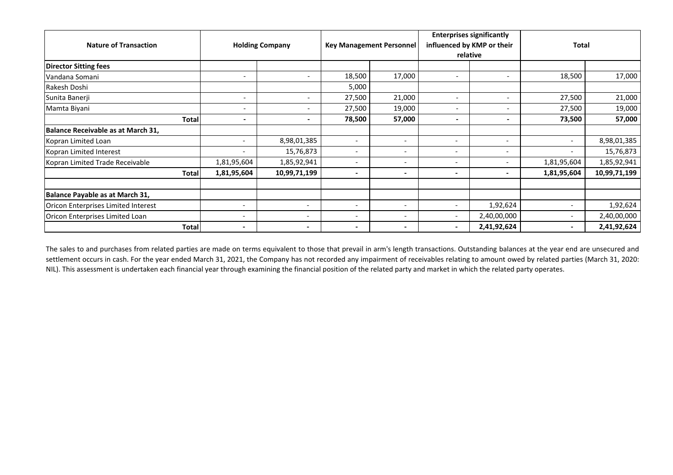| <b>Nature of Transaction</b>        |                          | <b>Holding Company</b>   | <b>Key Management Personnel</b> |                          | influenced by KMP or their<br>relative |                          | <b>Enterprises significantly</b> |              | <b>Total</b> |  |
|-------------------------------------|--------------------------|--------------------------|---------------------------------|--------------------------|----------------------------------------|--------------------------|----------------------------------|--------------|--------------|--|
| <b>Director Sitting fees</b>        |                          |                          |                                 |                          |                                        |                          |                                  |              |              |  |
| Vandana Somani                      | $\overline{\phantom{a}}$ |                          | 18,500                          | 17,000                   | $\overline{\phantom{a}}$               | $\overline{\phantom{a}}$ | 18,500                           | 17,000       |              |  |
| Rakesh Doshi                        |                          |                          | 5,000                           |                          |                                        |                          |                                  |              |              |  |
| Sunita Banerji                      | $\overline{\phantom{a}}$ | $\overline{\phantom{0}}$ | 27,500                          | 21,000                   | $\overline{\phantom{0}}$               | $\overline{\phantom{a}}$ | 27,500                           | 21,000       |              |  |
| Mamta Biyani                        | $\overline{\phantom{0}}$ |                          | 27,500                          | 19,000                   |                                        | $\qquad \qquad$          | 27,500                           | 19,000       |              |  |
| <b>Total</b>                        | -                        |                          | 78,500                          | 57,000                   |                                        | $\overline{\phantom{0}}$ | 73,500                           | 57,000       |              |  |
| Balance Receivable as at March 31,  |                          |                          |                                 |                          |                                        |                          |                                  |              |              |  |
| Kopran Limited Loan                 | $\overline{\phantom{a}}$ | 8,98,01,385              | $\overline{\phantom{0}}$        | $\overline{\phantom{0}}$ | $\overline{\phantom{0}}$               | $\overline{\phantom{0}}$ | $\overline{\phantom{0}}$         | 8,98,01,385  |              |  |
| Kopran Limited Interest             | $\overline{\phantom{a}}$ | 15,76,873                | $\qquad \qquad -$               | $\overline{\phantom{0}}$ | $\overline{\phantom{a}}$               | $\overline{\phantom{0}}$ | $\overline{\phantom{a}}$         | 15,76,873    |              |  |
| Kopran Limited Trade Receivable     | 1,81,95,604              | 1,85,92,941              | $\overline{\phantom{a}}$        | $\overline{\phantom{0}}$ | $\qquad \qquad \blacksquare$           | $\overline{\phantom{a}}$ | 1,81,95,604                      | 1,85,92,941  |              |  |
| <b>Total</b>                        | 1,81,95,604              | 10,99,71,199             | $\overline{\phantom{a}}$        | $\overline{\phantom{a}}$ | $\overline{\phantom{0}}$               | $\overline{\phantom{a}}$ | 1,81,95,604                      | 10,99,71,199 |              |  |
|                                     |                          |                          |                                 |                          |                                        |                          |                                  |              |              |  |
| Balance Payable as at March 31,     |                          |                          |                                 |                          |                                        |                          |                                  |              |              |  |
| Oricon Enterprises Limited Interest | $\overline{\phantom{a}}$ | $\overline{\phantom{a}}$ | $\overline{\phantom{a}}$        | $\overline{\phantom{a}}$ |                                        | 1,92,624                 | $\overline{\phantom{a}}$         | 1,92,624     |              |  |
| Oricon Enterprises Limited Loan     | $\overline{\phantom{a}}$ | $\overline{\phantom{0}}$ | $\overline{\phantom{a}}$        | $\overline{\phantom{0}}$ | $\overline{\phantom{0}}$               | 2,40,00,000              | $\overline{\phantom{a}}$         | 2,40,00,000  |              |  |
| <b>Total</b>                        | $\hbox{ }$               | $\overline{\phantom{a}}$ | $\overline{\phantom{a}}$        | $\blacksquare$           | $\overline{\phantom{a}}$               | 2,41,92,624              | $\blacksquare$                   | 2,41,92,624  |              |  |

The sales to and purchases from related parties are made on terms equivalent to those that prevail in arm's length transactions. Outstanding balances at the year end are unsecured and settlement occurs in cash. For the year ended March 31, 2021, the Company has not recorded any impairment of receivables relating to amount owed by related parties (March 31, 2020: NIL). This assessment is undertaken each financial year through examining the financial position of the related party and market in which the related party operates.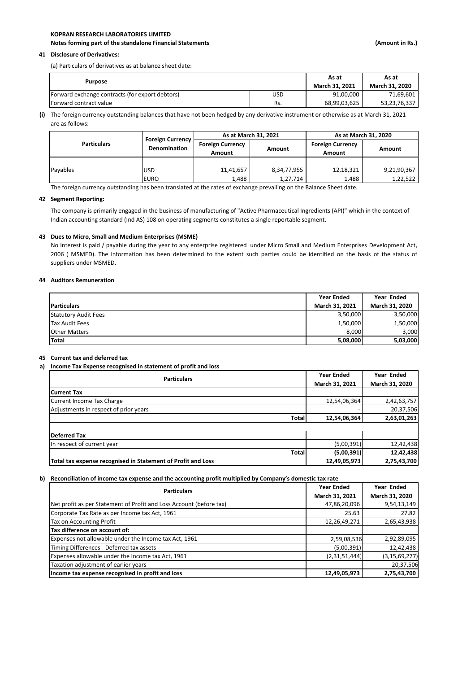#### **Notes forming part of the standalone Financial Statements (Amount in Rs.)**

#### **41 Disclosure of Derivatives:**

(a) Particulars of derivatives as at balance sheet date:

| <b>Purpose</b>                                  |     | As at<br><b>March 31, 2021</b> | As at<br>March 31, 2020 |
|-------------------------------------------------|-----|--------------------------------|-------------------------|
| Forward exchange contracts (for export debtors) | USD | 91,00,000                      | 71,69,601               |
| Forward contract value                          | Rs. | 68,99,03,625                   | 53,23,76,337            |

**(i)** The foreign currency outstanding balances that have not been hedged by any derivative instrument or otherwise as at March 31, 2021 are as follows:

|                    | <b>Foreign Currency</b> | As at March 31, 2021              |             |                                   | As at March 31, 2020 |  |
|--------------------|-------------------------|-----------------------------------|-------------|-----------------------------------|----------------------|--|
| <b>Particulars</b> | <b>Denomination</b>     | <b>Foreign Currency</b><br>Amount | Amount      | <b>Foreign Currency</b><br>Amount | Amount               |  |
| Payables           | <b>USD</b>              | 11,41,657                         | 8,34,77,955 | 12,18,321                         | 9,21,90,367          |  |
|                    | <b>EURO</b>             | 1,488                             | 1,27,714    | 1,488                             | 1,22,522             |  |

The foreign currency outstanding has been translated at the rates of exchange prevailing on the Balance Sheet date.

#### **42 Segment Reporting:**

The company is primarily engaged in the business of manufacturing of "Active Pharmaceutical Ingredients (API)" which in the context of Indian accounting standard (Ind AS) 108 on operating segments constitutes a single reportable segment.

#### **43 Dues to Micro, Small and Medium Enterprises (MSME)**

No Interest is paid / payable during the year to any enterprise registered under Micro Small and Medium Enterprises Development Act, 2006 ( MSMED). The information has been determined to the extent such parties could be identified on the basis of the status of suppliers under MSMED.

#### **44 Auditors Remuneration**

|                             | <b>Year Ended</b> | Year Ended     |
|-----------------------------|-------------------|----------------|
| <b>Particulars</b>          | March 31, 2021    | March 31, 2020 |
| <b>Statutory Audit Fees</b> | 3,50,000          | 3,50,000       |
| Tax Audit Fees              | 1,50,000          | 1,50,000       |
| <b>Other Matters</b>        | 8.000             | 3,000          |
| Total                       | 5,08,000          | 5,03,000       |

#### **45 Current tax and deferred tax**

#### **a) Income Tax Expense recognised in statement of profit and loss**

| <b>Particulars</b>                                           | <b>Year Ended</b> | Year Ended     |
|--------------------------------------------------------------|-------------------|----------------|
|                                                              | March 31, 2021    | March 31, 2020 |
| <b>Current Tax</b>                                           |                   |                |
| Current Income Tax Charge                                    | 12,54,06,364      | 2,42,63,757    |
| Adjustments in respect of prior years                        |                   | 20,37,506      |
| <b>Total</b>                                                 | 12,54,06,364      | 2,63,01,263    |
|                                                              |                   |                |
| <b>Deferred Tax</b>                                          |                   |                |
| In respect of current year                                   | (5,00,391)        | 12,42,438      |
| Total                                                        | (5,00,391)        | 12,42,438      |
| Total tax expense recognised in Statement of Profit and Loss | 12,49,05,973      | 2,75,43,700    |

#### **b) Reconciliation of income tax expense and the accounting profit multiplied by Company's domestic tax rate**

| <b>Particulars</b>                                                  | <b>Year Ended</b> | Year Ended       |
|---------------------------------------------------------------------|-------------------|------------------|
|                                                                     | March 31, 2021    | March 31, 2020   |
| Net profit as per Statement of Profit and Loss Account (before tax) | 47,86,20,096      | 9,54,13,149      |
| Corporate Tax Rate as per Income tax Act, 1961                      | 25.63             | 27.82            |
| Tax on Accounting Profit                                            | 12,26,49,271      | 2,65,43,938      |
| Tax difference on account of:                                       |                   |                  |
| Expenses not allowable under the Income tax Act, 1961               | 2,59,08,536       | 2,92,89,095      |
| Timing Differences - Deferred tax assets                            | (5,00,391)        | 12,42,438        |
| Expenses allowable under the Income tax Act, 1961                   | (2,31,51,444)     | (3, 15, 69, 277) |
| Taxation adjustment of earlier years                                |                   | 20,37,506        |
| Income tax expense recognised in profit and loss                    | 12,49,05,973      | 2,75,43,700      |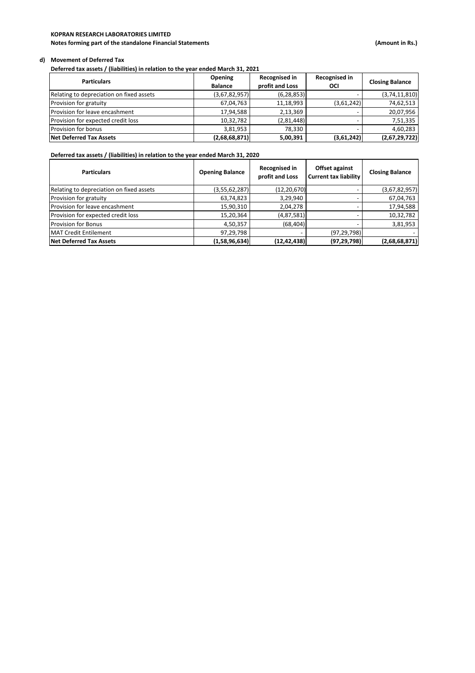#### **Notes forming part of the standalone Financial Statements (Amount in Rs.)**

#### **d) Movement of Deferred Tax**

#### **Deferred tax assets / (liabilities) in relation to the year ended March 31, 2021**

| <b>Particulars</b>                       | Opening        | Recognised in   | Recognised in            | <b>Closing Balance</b> |
|------------------------------------------|----------------|-----------------|--------------------------|------------------------|
|                                          | <b>Balance</b> | profit and Loss | OCI                      |                        |
| Relating to depreciation on fixed assets | (3,67,82,957)  | (6, 28, 853)    |                          | (3,74,11,810)          |
| Provision for gratuity                   | 67,04,763      | 11,18,993       | (3,61,242)               | 74,62,513              |
| Provision for leave encashment           | 17,94,588      | 2,13,369        | -                        | 20,07,956              |
| Provision for expected credit loss       | 10,32,782      | (2,81,448)      | $\overline{\phantom{0}}$ | 7,51,335               |
| <b>Provision for bonus</b>               | 3,81,953       | 78.330          |                          | 4,60,283               |
| <b>Net Deferred Tax Assets</b>           | (2,68,68,871)  | 5,00,391        | (3,61,242)               | (2,67,29,722)          |

#### **Deferred tax assets / (liabilities) in relation to the year ended March 31, 2020**

| <b>Particulars</b>                       | <b>Opening Balance</b> | Recognised in<br>profit and Loss | Offset against<br><b>Current tax liability</b> | <b>Closing Balance</b> |
|------------------------------------------|------------------------|----------------------------------|------------------------------------------------|------------------------|
| Relating to depreciation on fixed assets | (3,55,62,287)          | (12, 20, 670)                    |                                                | (3,67,82,957)          |
| Provision for gratuity                   | 63,74,823              | 3,29,940                         |                                                | 67,04,763              |
| Provision for leave encashment           | 15,90,310              | 2,04,278                         |                                                | 17,94,588              |
| Provision for expected credit loss       | 15,20,364              | (4,87,581)                       |                                                | 10,32,782              |
| <b>Provision for Bonus</b>               | 4,50,357               | (68, 404)                        |                                                | 3,81,953               |
| MAT Credit Entilement                    | 97,29,798              |                                  | (97, 29, 798)                                  |                        |
| <b>Net Deferred Tax Assets</b>           | (1,58,96,634)          | (12, 42, 438)                    | (97, 29, 798)                                  | (2,68,68,871)          |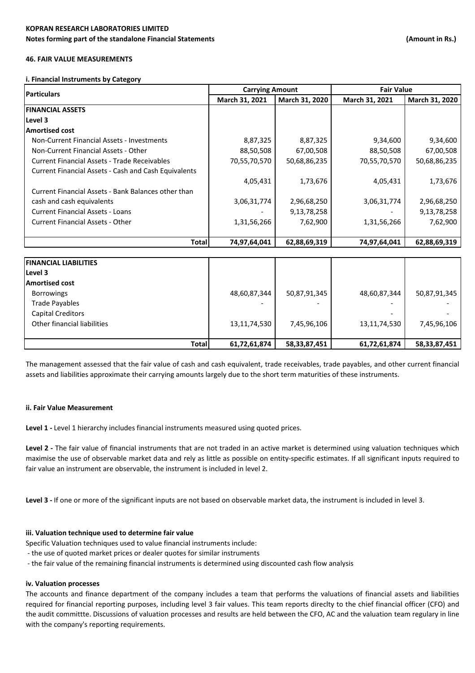#### **46. FAIR VALUE MEASUREMENTS**

#### **i. Financial Instruments by Category**

| <b>Particulars</b>                                          | <b>Carrying Amount</b> |                 | <b>Fair Value</b> |                 |
|-------------------------------------------------------------|------------------------|-----------------|-------------------|-----------------|
|                                                             | March 31, 2021         | March 31, 2020  | March 31, 2021    | March 31, 2020  |
| <b>FINANCIAL ASSETS</b>                                     |                        |                 |                   |                 |
| Level 3                                                     |                        |                 |                   |                 |
| <b>Amortised cost</b>                                       |                        |                 |                   |                 |
| Non-Current Financial Assets - Investments                  | 8,87,325               | 8,87,325        | 9,34,600          | 9,34,600        |
| Non-Current Financial Assets - Other                        | 88,50,508              | 67,00,508       | 88,50,508         | 67,00,508       |
| <b>Current Financial Assets - Trade Receivables</b>         | 70,55,70,570           | 50,68,86,235    | 70,55,70,570      | 50,68,86,235    |
| <b>Current Financial Assets - Cash and Cash Equivalents</b> |                        |                 |                   |                 |
|                                                             | 4,05,431               | 1,73,676        | 4,05,431          | 1,73,676        |
| Current Financial Assets - Bank Balances other than         |                        |                 |                   |                 |
| cash and cash equivalents                                   | 3,06,31,774            | 2,96,68,250     | 3,06,31,774       | 2,96,68,250     |
| <b>Current Financial Assets - Loans</b>                     |                        | 9,13,78,258     |                   | 9,13,78,258     |
| <b>Current Financial Assets - Other</b>                     | 1,31,56,266            | 7,62,900        | 1,31,56,266       | 7,62,900        |
|                                                             |                        |                 |                   |                 |
| <b>Total</b>                                                | 74,97,64,041           | 62,88,69,319    | 74,97,64,041      | 62,88,69,319    |
|                                                             |                        |                 |                   |                 |
| <b>FINANCIAL LIABILITIES</b>                                |                        |                 |                   |                 |
| Level 3                                                     |                        |                 |                   |                 |
| <b>Amortised cost</b>                                       |                        |                 |                   |                 |
| <b>Borrowings</b>                                           | 48,60,87,344           | 50,87,91,345    | 48,60,87,344      | 50,87,91,345    |
| <b>Trade Payables</b>                                       |                        |                 |                   |                 |
| <b>Capital Creditors</b>                                    |                        |                 |                   |                 |
| Other financial liabilities                                 | 13,11,74,530           | 7,45,96,106     | 13,11,74,530      | 7,45,96,106     |
|                                                             |                        |                 |                   |                 |
| <b>Total</b>                                                | 61,72,61,874           | 58, 33, 87, 451 | 61,72,61,874      | 58, 33, 87, 451 |

The management assessed that the fair value of cash and cash equivalent, trade receivables, trade payables, and other current financial assets and liabilities approximate their carrying amounts largely due to the short term maturities of these instruments.

#### **ii. Fair Value Measurement**

Level 1 - Level 1 hierarchy includes financial instruments measured using quoted prices.

**Level 2 -** The fair value of financial instruments that are not traded in an active market is determined using valuation techniques which maximise the use of observable market data and rely as little as possible on entity-specific estimates. If all significant inputs required to fair value an instrument are observable, the instrument is included in level 2.

Level 3 - If one or more of the significant inputs are not based on observable market data, the instrument is included in level 3.

#### **iii. Valuation technique used to determine fair value**

Specific Valuation techniques used to value financial instruments include:

- the use of quoted market prices or dealer quotes for similar instruments
- the fair value of the remaining financial instruments is determined using discounted cash flow analysis

#### **iv. Valuation processes**

The accounts and finance department of the company includes a team that performs the valuations of financial assets and liabilities required for financial reporting purposes, including level 3 fair values. This team reports direclty to the chief financial officer (CFO) and the audit committte. Discussions of valuation processes and results are held between the CFO, AC and the valuation team regulary in line with the company's reporting requirements.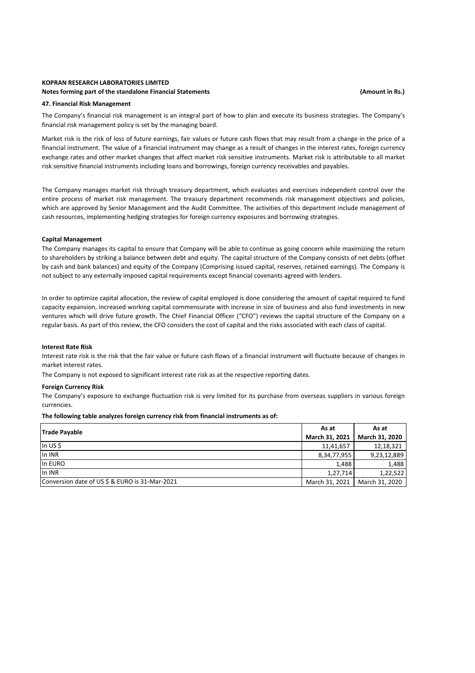#### **47. Financial Risk Management**

The Company's financial risk management is an integral part of how to plan and execute its business strategies. The Company's financial risk management policy is set by the managing board.

Market risk is the risk of loss of future earnings, fair values or future cash flows that may result from a change in the price of a financial instrument. The value of a financial instrument may change as a result of changes in the interest rates, foreign currency exchange rates and other market changes that affect market risk sensitive instruments. Market risk is attributable to all market risk sensitive financial instruments including loans and borrowings, foreign currency receivables and payables.

The Company manages market risk through treasury department, which evaluates and exercises independent control over the entire process of market risk management. The treasury department recommends risk management objectives and policies, which are approved by Senior Management and the Audit Committee. The activities of this department include management of cash resources, implementing hedging strategies for foreign currency exposures and borrowing strategies.

#### **Capital Management**

The Company manages its capital to ensure that Company will be able to continue as going concern while maximizing the return to shareholders by striking a balance between debt and equity. The capital structure of the Company consists of net debts (offset by cash and bank balances) and equity of the Company (Comprising issued capital, reserves, retained earnings). The Company is not subject to any externally imposed capital requirements except financial covenants agreed with lenders.

In order to optimize capital allocation, the review of capital employed is done considering the amount of capital required to fund capacity expansion, increased working capital commensurate with increase in size of business and also fund investments in new ventures which will drive future growth. The Chief Financial Officer ("CFO") reviews the capital structure of the Company on a regular basis. As part of this review, the CFO considers the cost of capital and the risks associated with each class of capital.

#### **Interest Rate Risk**

Interest rate risk is the risk that the fair value or future cash flows of a financial instrument will fluctuate because of changes in market interest rates.

The Company is not exposed to significant interest rate risk as at the respective reporting dates.

#### **Foreign Currency Risk**

The Company's exposure to exchange fluctuation risk is very limited for its purchase from overseas suppliers in various foreign currencies.

#### **The following table analyzes foreign currency risk from financial instruments as of:**

| <b>Trade Payable</b>                           | As at          | As at          |
|------------------------------------------------|----------------|----------------|
|                                                | March 31, 2021 | March 31, 2020 |
| In US \$                                       | 11,41,657      | 12,18,321      |
| In INR                                         | 8,34,77,955    | 9,23,12,889    |
| In EURO                                        | 1,488          | 1,488          |
| In INR                                         | 1,27,714       | 1,22,522       |
| Conversion date of US \$ & EURO is 31-Mar-2021 | March 31, 2021 | March 31, 2020 |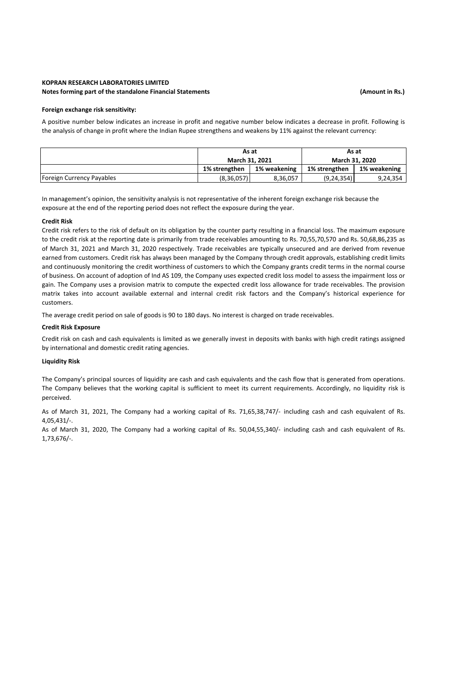#### **Foreign exchange risk sensitivity:**

A positive number below indicates an increase in profit and negative number below indicates a decrease in profit. Following is the analysis of change in profit where the Indian Rupee strengthens and weakens by 11% against the relevant currency:

|                           | As at<br><b>March 31, 2021</b> |              | As at                 |              |
|---------------------------|--------------------------------|--------------|-----------------------|--------------|
|                           |                                |              | <b>March 31, 2020</b> |              |
|                           | 1% strengthen                  | 1% weakening | 1% strengthen         | 1% weakening |
| Foreign Currency Payables | (8, 36, 057)                   | 8,36,057     | (9, 24, 354)          | 9,24,354     |

In management's opinion, the sensitivity analysis is not representative of the inherent foreign exchange risk because the exposure at the end of the reporting period does not reflect the exposure during the year.

#### **Credit Risk**

Credit risk refers to the risk of default on its obligation by the counter party resulting in a financial loss. The maximum exposure to the credit risk at the reporting date is primarily from trade receivables amounting to Rs. 70,55,70,570 and Rs. 50,68,86,235 as of March 31, 2021 and March 31, 2020 respectively. Trade receivables are typically unsecured and are derived from revenue earned from customers. Credit risk has always been managed by the Company through credit approvals, establishing credit limits and continuously monitoring the credit worthiness of customers to which the Company grants credit terms in the normal course of business. On account of adoption of Ind AS 109, the Company uses expected credit loss model to assess the impairment loss or gain. The Company uses a provision matrix to compute the expected credit loss allowance for trade receivables. The provision matrix takes into account available external and internal credit risk factors and the Company's historical experience for customers.

The average credit period on sale of goods is 90 to 180 days. No interest is charged on trade receivables.

#### **Credit Risk Exposure**

Credit risk on cash and cash equivalents is limited as we generally invest in deposits with banks with high credit ratings assigned by international and domestic credit rating agencies.

#### **Liquidity Risk**

The Company's principal sources of liquidity are cash and cash equivalents and the cash flow that is generated from operations. The Company believes that the working capital is sufficient to meet its current requirements. Accordingly, no liquidity risk is perceived.

As of March 31, 2021, The Company had a working capital of Rs. 71,65,38,747/- including cash and cash equivalent of Rs. 4,05,431/-.

As of March 31, 2020, The Company had a working capital of Rs. 50,04,55,340/- including cash and cash equivalent of Rs. 1,73,676/-.